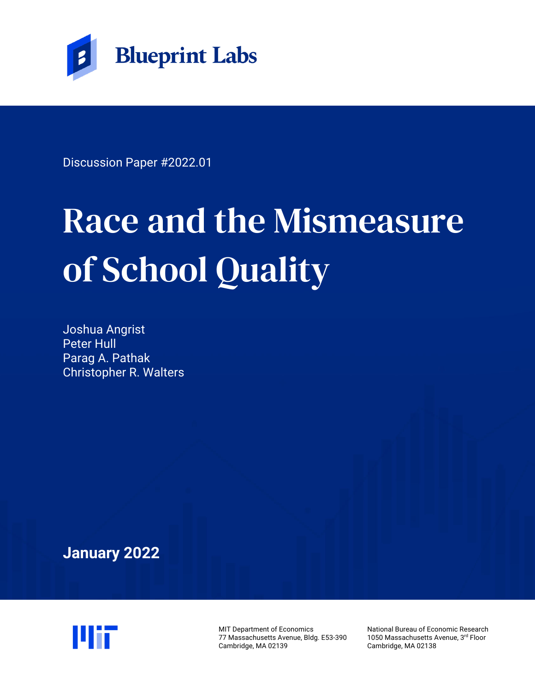

Discussion Paper #2022.01

# Race and the Mismeasure of School Quality

Joshua Angrist Peter Hull Parag A. Pathak Christopher R. Walters

**January 2022**



MIT Department of Economics 77 Massachusetts Avenue, Bldg. E53-390 Cambridge, MA 02139

National Bureau of Economic Research 1050 Massachusetts Avenue, 3rd Floor Cambridge, MA 02138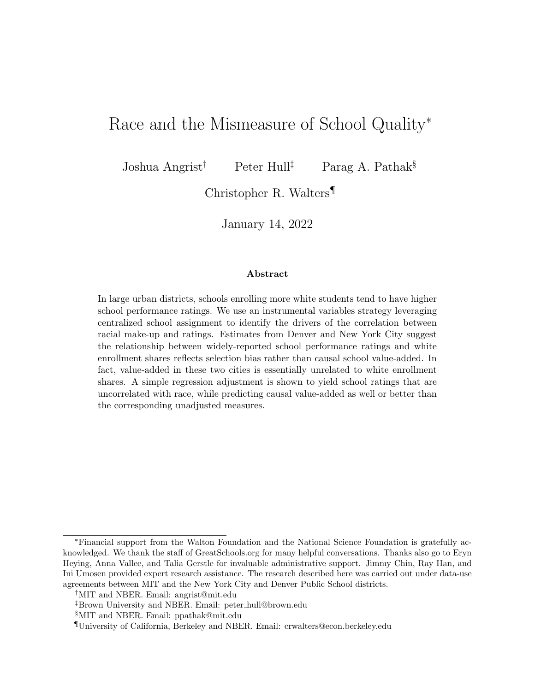## Race and the Mismeasure of School Quality<sup>∗</sup>

Joshua Angrist<sup>†</sup> Peter Hull<sup>‡</sup> Parag A. Pathak<sup>§</sup>

Christopher R. Walters¶

January 14, 2022

#### Abstract

In large urban districts, schools enrolling more white students tend to have higher school performance ratings. We use an instrumental variables strategy leveraging centralized school assignment to identify the drivers of the correlation between racial make-up and ratings. Estimates from Denver and New York City suggest the relationship between widely-reported school performance ratings and white enrollment shares reflects selection bias rather than causal school value-added. In fact, value-added in these two cities is essentially unrelated to white enrollment shares. A simple regression adjustment is shown to yield school ratings that are uncorrelated with race, while predicting causal value-added as well or better than the corresponding unadjusted measures.

<sup>∗</sup>Financial support from the Walton Foundation and the National Science Foundation is gratefully acknowledged. We thank the staff of [GreatSchools.org](https://www.greatschools.org) for many helpful conversations. Thanks also go to Eryn Heying, Anna Vallee, and Talia Gerstle for invaluable administrative support. Jimmy Chin, Ray Han, and Ini Umosen provided expert research assistance. The research described here was carried out under data-use agreements between MIT and the New York City and Denver Public School districts.

<sup>†</sup>MIT and NBER. Email: [angrist@mit.edu](mailto:angrist@mit.edu)

<sup>‡</sup>Brown University and NBER. Email: peter [hull@brown.edu](mailto:peter\protect _hull@brown.edu)

<sup>§</sup>MIT and NBER. Email: [ppathak@mit.edu](mailto:ppathak@mit.edu)

<sup>¶</sup>University of California, Berkeley and NBER. Email: [crwalters@econ.berkeley.edu](mailto:crwalters@econ.berkeley.edu)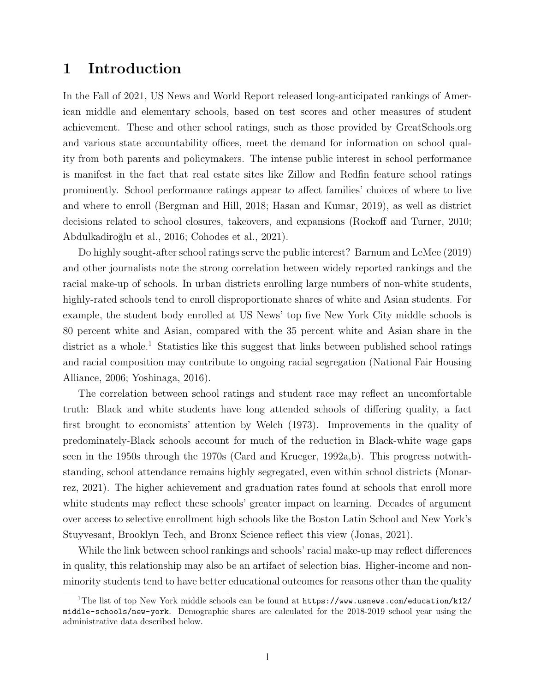## 1 Introduction

In the Fall of 2021, US News and World Report released long-anticipated rankings of American middle and elementary schools, based on test scores and other measures of student achievement. These and other school ratings, such as those provided by [GreatSchools.org](https://www.greatschools.org) and various state accountability offices, meet the demand for information on school quality from both parents and policymakers. The intense public interest in school performance is manifest in the fact that real estate sites like Zillow and Redfin feature school ratings prominently. School performance ratings appear to affect families' choices of where to live and where to enroll [\(Bergman and Hill, 2018;](#page-15-0) [Hasan and Kumar, 2019\)](#page-16-0), as well as district decisions related to school closures, takeovers, and expansions [\(Rockoff and Turner, 2010;](#page-16-1) [Abdulkadiro˘glu et al., 2016;](#page-15-1) [Cohodes et al., 2021\)](#page-16-2).

Do highly sought-after school ratings serve the public interest? [Barnum and LeMee \(2019\)](#page-15-2) and other journalists note the strong correlation between widely reported rankings and the racial make-up of schools. In urban districts enrolling large numbers of non-white students, highly-rated schools tend to enroll disproportionate shares of white and Asian students. For example, the student body enrolled at US News' top five New York City middle schools is 80 percent white and Asian, compared with the 35 percent white and Asian share in the district as a whole.<sup>[1](#page-2-0)</sup> Statistics like this suggest that links between published school ratings and racial composition may contribute to ongoing racial segregation [\(National Fair Housing](#page-16-3) [Alliance, 2006;](#page-16-3) [Yoshinaga, 2016\)](#page-16-4).

The correlation between school ratings and student race may reflect an uncomfortable truth: Black and white students have long attended schools of differing quality, a fact first brought to economists' attention by [Welch \(1973\)](#page-16-5). Improvements in the quality of predominately-Black schools account for much of the reduction in Black-white wage gaps seen in the 1950s through the 1970s [\(Card and Krueger, 1992a,](#page-15-3)[b\)](#page-16-6). This progress notwithstanding, school attendance remains highly segregated, even within school districts [\(Monar](#page-16-7)[rez, 2021\)](#page-16-7). The higher achievement and graduation rates found at schools that enroll more white students may reflect these schools' greater impact on learning. Decades of argument over access to selective enrollment high schools like the Boston Latin School and New York's Stuyvesant, Brooklyn Tech, and Bronx Science reflect this view [\(Jonas, 2021\)](#page-16-8).

While the link between school rankings and schools' racial make-up may reflect differences in quality, this relationship may also be an artifact of selection bias. Higher-income and nonminority students tend to have better educational outcomes for reasons other than the quality

<span id="page-2-0"></span><sup>&</sup>lt;sup>1</sup>The list of top New York middle schools can be found at [https://www.usnews.com/education/k12/](https://www.usnews.com/education/k12/middle-schools/new-york) [middle-schools/new-york](https://www.usnews.com/education/k12/middle-schools/new-york). Demographic shares are calculated for the 2018-2019 school year using the administrative data described below.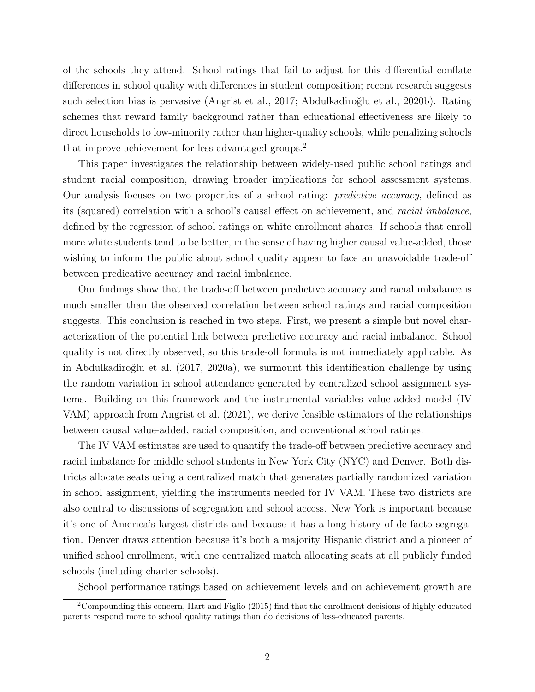of the schools they attend. School ratings that fail to adjust for this differential conflate differences in school quality with differences in student composition; recent research suggests such selection bias is pervasive [\(Angrist et al., 2017;](#page-15-4) Abdulkadiroğlu et al., 2020b). Rating schemes that reward family background rather than educational effectiveness are likely to direct households to low-minority rather than higher-quality schools, while penalizing schools that improve achievement for less-advantaged groups.[2](#page-3-0)

This paper investigates the relationship between widely-used public school ratings and student racial composition, drawing broader implications for school assessment systems. Our analysis focuses on two properties of a school rating: predictive accuracy, defined as its (squared) correlation with a school's causal effect on achievement, and racial imbalance, defined by the regression of school ratings on white enrollment shares. If schools that enroll more white students tend to be better, in the sense of having higher causal value-added, those wishing to inform the public about school quality appear to face an unavoidable trade-off between predicative accuracy and racial imbalance.

Our findings show that the trade-off between predictive accuracy and racial imbalance is much smaller than the observed correlation between school ratings and racial composition suggests. This conclusion is reached in two steps. First, we present a simple but novel characterization of the potential link between predictive accuracy and racial imbalance. School quality is not directly observed, so this trade-off formula is not immediately applicable. As in Abdulkadiroğlu et al.  $(2017, 2020a)$  $(2017, 2020a)$ , we surmount this identification challenge by using the random variation in school attendance generated by centralized school assignment systems. Building on this framework and the instrumental variables value-added model (IV VAM) approach from [Angrist et al. \(2021\)](#page-15-8), we derive feasible estimators of the relationships between causal value-added, racial composition, and conventional school ratings.

The IV VAM estimates are used to quantify the trade-off between predictive accuracy and racial imbalance for middle school students in New York City (NYC) and Denver. Both districts allocate seats using a centralized match that generates partially randomized variation in school assignment, yielding the instruments needed for IV VAM. These two districts are also central to discussions of segregation and school access. New York is important because it's one of America's largest districts and because it has a long history of de facto segregation. Denver draws attention because it's both a majority Hispanic district and a pioneer of unified school enrollment, with one centralized match allocating seats at all publicly funded schools (including charter schools).

<span id="page-3-0"></span>School performance ratings based on achievement levels and on achievement growth are

<sup>2</sup>Compounding this concern, [Hart and Figlio](#page-16-9) [\(2015\)](#page-16-9) find that the enrollment decisions of highly educated parents respond more to school quality ratings than do decisions of less-educated parents.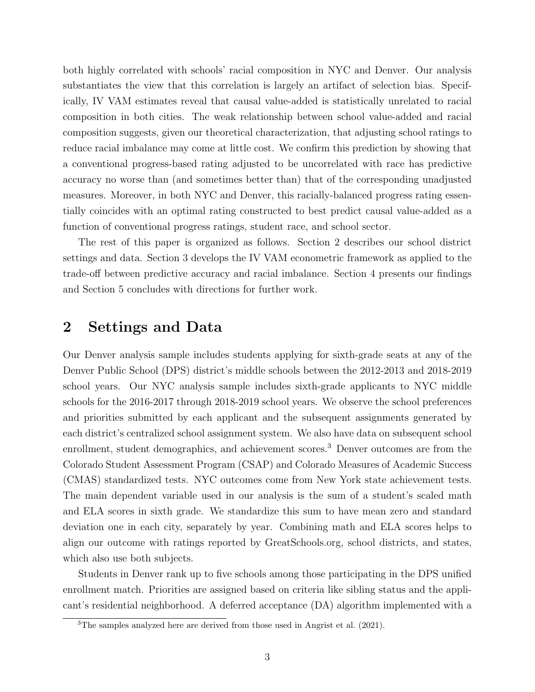both highly correlated with schools' racial composition in NYC and Denver. Our analysis substantiates the view that this correlation is largely an artifact of selection bias. Specifically, IV VAM estimates reveal that causal value-added is statistically unrelated to racial composition in both cities. The weak relationship between school value-added and racial composition suggests, given our theoretical characterization, that adjusting school ratings to reduce racial imbalance may come at little cost. We confirm this prediction by showing that a conventional progress-based rating adjusted to be uncorrelated with race has predictive accuracy no worse than (and sometimes better than) that of the corresponding unadjusted measures. Moreover, in both NYC and Denver, this racially-balanced progress rating essentially coincides with an optimal rating constructed to best predict causal value-added as a function of conventional progress ratings, student race, and school sector.

The rest of this paper is organized as follows. Section [2](#page-4-0) describes our school district settings and data. Section [3](#page-6-0) develops the IV VAM econometric framework as applied to the trade-off between predictive accuracy and racial imbalance. Section [4](#page-12-0) presents our findings and Section [5](#page-14-0) concludes with directions for further work.

## <span id="page-4-0"></span>2 Settings and Data

Our Denver analysis sample includes students applying for sixth-grade seats at any of the Denver Public School (DPS) district's middle schools between the 2012-2013 and 2018-2019 school years. Our NYC analysis sample includes sixth-grade applicants to NYC middle schools for the 2016-2017 through 2018-2019 school years. We observe the school preferences and priorities submitted by each applicant and the subsequent assignments generated by each district's centralized school assignment system. We also have data on subsequent school enrollment, student demographics, and achievement scores.<sup>[3](#page-4-1)</sup> Denver outcomes are from the Colorado Student Assessment Program (CSAP) and Colorado Measures of Academic Success (CMAS) standardized tests. NYC outcomes come from New York state achievement tests. The main dependent variable used in our analysis is the sum of a student's scaled math and ELA scores in sixth grade. We standardize this sum to have mean zero and standard deviation one in each city, separately by year. Combining math and ELA scores helps to align our outcome with ratings reported by GreatSchools.org, school districts, and states, which also use both subjects.

Students in Denver rank up to five schools among those participating in the DPS unified enrollment match. Priorities are assigned based on criteria like sibling status and the applicant's residential neighborhood. A deferred acceptance (DA) algorithm implemented with a

<span id="page-4-1"></span><sup>3</sup>The samples analyzed here are derived from those used in [Angrist et al.](#page-15-8) [\(2021\)](#page-15-8).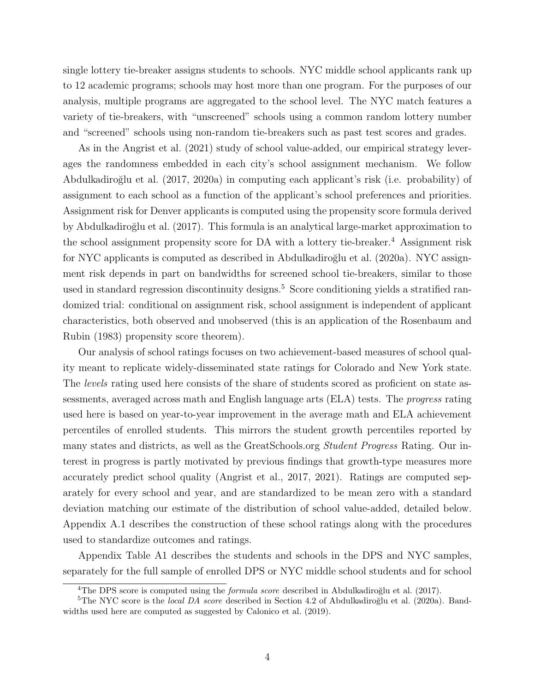single lottery tie-breaker assigns students to schools. NYC middle school applicants rank up to 12 academic programs; schools may host more than one program. For the purposes of our analysis, multiple programs are aggregated to the school level. The NYC match features a variety of tie-breakers, with "unscreened" schools using a common random lottery number and "screened" schools using non-random tie-breakers such as past test scores and grades.

As in the [Angrist et al. \(2021\)](#page-15-8) study of school value-added, our empirical strategy leverages the randomness embedded in each city's school assignment mechanism. We follow [Abdulkadiro˘glu et al. \(2017,](#page-15-6) [2020a\)](#page-15-7) in computing each applicant's risk (i.e. probability) of assignment to each school as a function of the applicant's school preferences and priorities. Assignment risk for Denver applicants is computed using the propensity score formula derived by Abdulkadiroğlu et al. (2017). This formula is an analytical large-market approximation to the school assignment propensity score for DA with a lottery tie-breaker.<sup>[4](#page-5-0)</sup> Assignment risk for NYC applicants is computed as described in Abdulkadiroğlu et al. (2020a). NYC assignment risk depends in part on bandwidths for screened school tie-breakers, similar to those used in standard regression discontinuity designs.<sup>[5](#page-5-1)</sup> Score conditioning yields a stratified randomized trial: conditional on assignment risk, school assignment is independent of applicant characteristics, both observed and unobserved (this is an application of the [Rosenbaum and](#page-16-10) [Rubin \(1983\)](#page-16-10) propensity score theorem).

Our analysis of school ratings focuses on two achievement-based measures of school quality meant to replicate widely-disseminated state ratings for Colorado and New York state. The levels rating used here consists of the share of students scored as proficient on state assessments, averaged across math and English language arts (ELA) tests. The progress rating used here is based on year-to-year improvement in the average math and ELA achievement percentiles of enrolled students. This mirrors the student growth percentiles reported by many states and districts, as well as the [GreatSchools.org](https://www.greatschools.org) *Student Progress* Rating. Our interest in progress is partly motivated by previous findings that growth-type measures more accurately predict school quality [\(Angrist et al., 2017,](#page-15-4) [2021\)](#page-15-8). Ratings are computed separately for every school and year, and are standardized to be mean zero with a standard deviation matching our estimate of the distribution of school value-added, detailed below. Appendix [A.1](#page-21-0) describes the construction of these school ratings along with the procedures used to standardize outcomes and ratings.

Appendix Table [A1](#page-24-0) describes the students and schools in the DPS and NYC samples, separately for the full sample of enrolled DPS or NYC middle school students and for school

<span id="page-5-1"></span><span id="page-5-0"></span><sup>&</sup>lt;sup>4</sup>The DPS score is computed using the *formula score* described in Abdulkadiroğlu et al. [\(2017\)](#page-15-6).

 ${}^{5}$ The NYC score is the *local DA score* described in Section 4.2 of Abdulkadiroğlu et al. [\(2020a\)](#page-15-7). Bandwidths used here are computed as suggested by [Calonico et al.](#page-15-9) [\(2019\)](#page-15-9).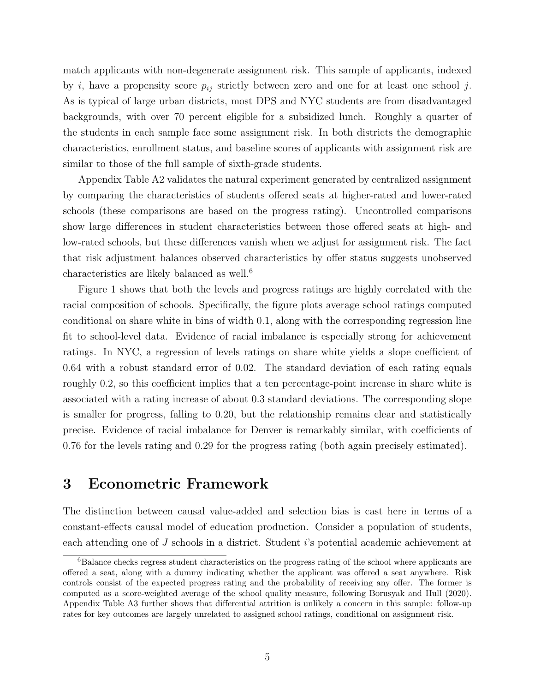match applicants with non-degenerate assignment risk. This sample of applicants, indexed by i, have a propensity score  $p_{ij}$  strictly between zero and one for at least one school j. As is typical of large urban districts, most DPS and NYC students are from disadvantaged backgrounds, with over 70 percent eligible for a subsidized lunch. Roughly a quarter of the students in each sample face some assignment risk. In both districts the demographic characteristics, enrollment status, and baseline scores of applicants with assignment risk are similar to those of the full sample of sixth-grade students.

Appendix Table [A2](#page-25-0) validates the natural experiment generated by centralized assignment by comparing the characteristics of students offered seats at higher-rated and lower-rated schools (these comparisons are based on the progress rating). Uncontrolled comparisons show large differences in student characteristics between those offered seats at high- and low-rated schools, but these differences vanish when we adjust for assignment risk. The fact that risk adjustment balances observed characteristics by offer status suggests unobserved characteristics are likely balanced as well.[6](#page-6-1)

Figure [1](#page-17-0) shows that both the levels and progress ratings are highly correlated with the racial composition of schools. Specifically, the figure plots average school ratings computed conditional on share white in bins of width 0.1, along with the corresponding regression line fit to school-level data. Evidence of racial imbalance is especially strong for achievement ratings. In NYC, a regression of levels ratings on share white yields a slope coefficient of 0.64 with a robust standard error of 0.02. The standard deviation of each rating equals roughly 0.2, so this coefficient implies that a ten percentage-point increase in share white is associated with a rating increase of about 0.3 standard deviations. The corresponding slope is smaller for progress, falling to 0.20, but the relationship remains clear and statistically precise. Evidence of racial imbalance for Denver is remarkably similar, with coefficients of 0.76 for the levels rating and 0.29 for the progress rating (both again precisely estimated).

## <span id="page-6-0"></span>3 Econometric Framework

The distinction between causal value-added and selection bias is cast here in terms of a constant-effects causal model of education production. Consider a population of students, each attending one of J schools in a district. Student i's potential academic achievement at

<span id="page-6-1"></span><sup>&</sup>lt;sup>6</sup>Balance checks regress student characteristics on the progress rating of the school where applicants are offered a seat, along with a dummy indicating whether the applicant was offered a seat anywhere. Risk controls consist of the expected progress rating and the probability of receiving any offer. The former is computed as a score-weighted average of the school quality measure, following [Borusyak and Hull](#page-15-10) [\(2020\)](#page-15-10). Appendix Table [A3](#page-26-0) further shows that differential attrition is unlikely a concern in this sample: follow-up rates for key outcomes are largely unrelated to assigned school ratings, conditional on assignment risk.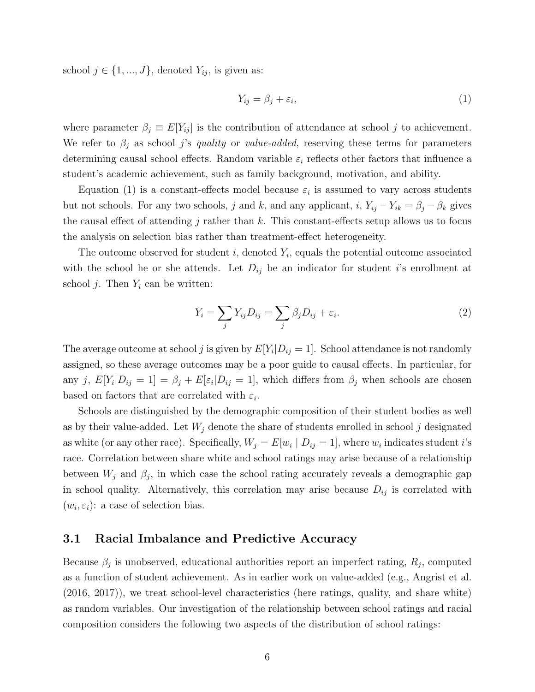school  $j \in \{1, ..., J\}$ , denoted  $Y_{ij}$ , is given as:

<span id="page-7-0"></span>
$$
Y_{ij} = \beta_j + \varepsilon_i,\tag{1}
$$

where parameter  $\beta_j \equiv E[Y_{ij}]$  is the contribution of attendance at school j to achievement. We refer to  $\beta_j$  as school j's quality or value-added, reserving these terms for parameters determining causal school effects. Random variable  $\varepsilon_i$  reflects other factors that influence a student's academic achievement, such as family background, motivation, and ability.

Equation [\(1\)](#page-7-0) is a constant-effects model because  $\varepsilon_i$  is assumed to vary across students but not schools. For any two schools, j and k, and any applicant,  $i$ ,  $Y_{ij} - Y_{ik} = \beta_j - \beta_k$  gives the causal effect of attending j rather than  $k$ . This constant-effects setup allows us to focus the analysis on selection bias rather than treatment-effect heterogeneity.

The outcome observed for student  $i$ , denoted  $Y_i$ , equals the potential outcome associated with the school he or she attends. Let  $D_{ij}$  be an indicator for student i's enrollment at school *j*. Then  $Y_i$  can be written:

<span id="page-7-1"></span>
$$
Y_i = \sum_j Y_{ij} D_{ij} = \sum_j \beta_j D_{ij} + \varepsilon_i.
$$
 (2)

The average outcome at school j is given by  $E[Y_i|D_{ij} = 1]$ . School attendance is not randomly assigned, so these average outcomes may be a poor guide to causal effects. In particular, for any j,  $E[Y_i|D_{ij} = 1] = \beta_j + E[\varepsilon_i|D_{ij} = 1]$ , which differs from  $\beta_j$  when schools are chosen based on factors that are correlated with  $\varepsilon_i$ .

Schools are distinguished by the demographic composition of their student bodies as well as by their value-added. Let  $W_j$  denote the share of students enrolled in school j designated as white (or any other race). Specifically,  $W_j = E[w_i \mid D_{ij} = 1]$ , where  $w_i$  indicates student *i*'s race. Correlation between share white and school ratings may arise because of a relationship between  $W_j$  and  $\beta_j$ , in which case the school rating accurately reveals a demographic gap in school quality. Alternatively, this correlation may arise because  $D_{ij}$  is correlated with  $(w_i, \varepsilon_i)$ : a case of selection bias.

#### 3.1 Racial Imbalance and Predictive Accuracy

Because  $\beta_j$  is unobserved, educational authorities report an imperfect rating,  $R_j$ , computed as a function of student achievement. As in earlier work on value-added (e.g., [Angrist et al.](#page-15-11) [\(2016,](#page-15-11) [2017\)](#page-15-4)), we treat school-level characteristics (here ratings, quality, and share white) as random variables. Our investigation of the relationship between school ratings and racial composition considers the following two aspects of the distribution of school ratings: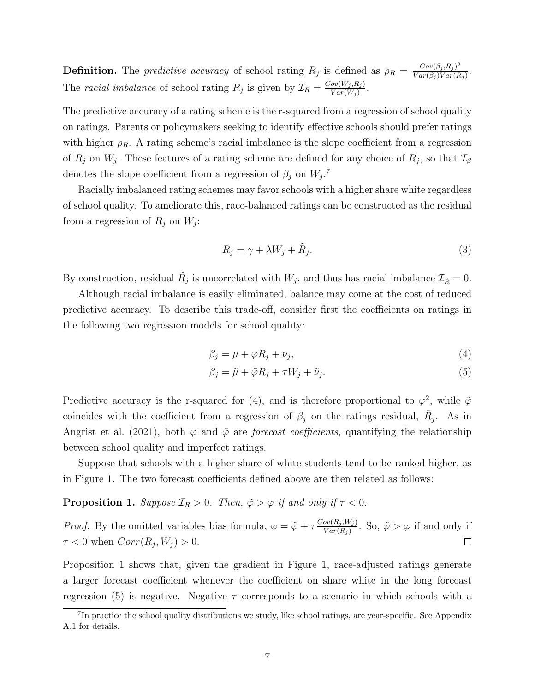**Definition.** The predictive accuracy of school rating  $R_j$  is defined as  $\rho_R = \frac{Cov(\beta_j, R_j)^2}{Var(\beta_i)Var(B)}$  $\frac{Cov(\beta_j, R_j)}{Var(\beta_j)Var(R_j)}$ . The racial imbalance of school rating  $R_j$  is given by  $\mathcal{I}_R = \frac{Cov(W_j, R_j)}{Var(W_i)}$  $\frac{ov(W_j, R_j)}{Var(W_j)}$ .

The predictive accuracy of a rating scheme is the r-squared from a regression of school quality on ratings. Parents or policymakers seeking to identify effective schools should prefer ratings with higher  $\rho_R$ . A rating scheme's racial imbalance is the slope coefficient from a regression of  $R_j$  on  $W_j$ . These features of a rating scheme are defined for any choice of  $R_j$ , so that  $\mathcal{I}_{\beta}$ denotes the slope coefficient from a regression of  $\beta_j$  on  $W_j$ .<sup>[7](#page-8-0)</sup>

Racially imbalanced rating schemes may favor schools with a higher share white regardless of school quality. To ameliorate this, race-balanced ratings can be constructed as the residual from a regression of  $R_j$  on  $W_j$ :

<span id="page-8-4"></span>
$$
R_j = \gamma + \lambda W_j + \tilde{R}_j. \tag{3}
$$

By construction, residual  $\tilde{R}_j$  is uncorrelated with  $W_j$ , and thus has racial imbalance  $\mathcal{I}_{\tilde{R}}=0$ .

Although racial imbalance is easily eliminated, balance may come at the cost of reduced predictive accuracy. To describe this trade-off, consider first the coefficients on ratings in the following two regression models for school quality:

<span id="page-8-1"></span>
$$
\beta_j = \mu + \varphi R_j + \nu_j,\tag{4}
$$

<span id="page-8-3"></span>
$$
\beta_j = \tilde{\mu} + \tilde{\varphi} R_j + \tau W_j + \tilde{\nu}_j. \tag{5}
$$

Predictive accuracy is the r-squared for [\(4\)](#page-8-1), and is therefore proportional to  $\varphi^2$ , while  $\tilde{\varphi}$ coincides with the coefficient from a regression of  $\beta_j$  on the ratings residual,  $\tilde{R}_j$ . As in [Angrist et al. \(2021\)](#page-15-8), both  $\varphi$  and  $\tilde{\varphi}$  are *forecast coefficients*, quantifying the relationship between school quality and imperfect ratings.

Suppose that schools with a higher share of white students tend to be ranked higher, as in Figure [1.](#page-17-0) The two forecast coefficients defined above are then related as follows:

<span id="page-8-2"></span>**Proposition 1.** Suppose  $\mathcal{I}_R > 0$ . Then,  $\tilde{\varphi} > \varphi$  if and only if  $\tau < 0$ .

*Proof.* By the omitted variables bias formula,  $\varphi = \tilde{\varphi} + \tau \frac{Cov(R_j, W_j)}{Var(R_j)}$  $\frac{\partial v(R_j, W_j)}{\partial Var(R_j)}$ . So,  $\tilde{\varphi} > \varphi$  if and only if  $\tau < 0$  when  $Corr(R_j, W_j) > 0$ .  $\Box$ 

Proposition [1](#page-8-2) shows that, given the gradient in Figure [1,](#page-17-0) race-adjusted ratings generate a larger forecast coefficient whenever the coefficient on share white in the long forecast regression [\(5\)](#page-8-3) is negative. Negative  $\tau$  corresponds to a scenario in which schools with a

<span id="page-8-0"></span><sup>&</sup>lt;sup>7</sup>In practice the school quality distributions we study, like school ratings, are year-specific. See Appendix [A.1](#page-21-0) for details.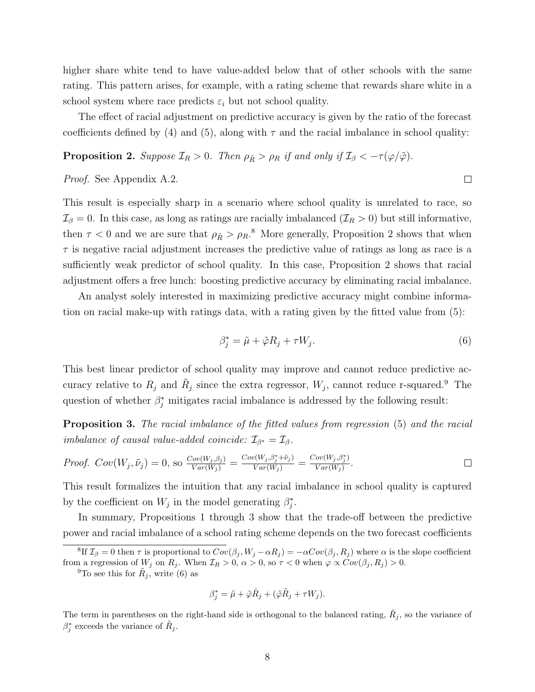higher share white tend to have value-added below that of other schools with the same rating. This pattern arises, for example, with a rating scheme that rewards share white in a school system where race predicts  $\varepsilon_i$  but not school quality.

The effect of racial adjustment on predictive accuracy is given by the ratio of the forecast coefficients defined by [\(4\)](#page-8-1) and [\(5\)](#page-8-3), along with  $\tau$  and the racial imbalance in school quality:

<span id="page-9-1"></span>**Proposition 2.** Suppose  $\mathcal{I}_R > 0$ . Then  $\rho_{\tilde{R}} > \rho_R$  if and only if  $\mathcal{I}_\beta < -\tau(\varphi/\tilde{\varphi})$ .

Proof. See Appendix [A.2.](#page-22-0)

This result is especially sharp in a scenario where school quality is unrelated to race, so  $\mathcal{I}_{\beta} = 0$ . In this case, as long as ratings are racially imbalanced  $(\mathcal{I}_R > 0)$  but still informative, then  $\tau < 0$  and we are sure that  $\rho_{\tilde{R}} > \rho_R$ .<sup>[8](#page-9-0)</sup> More generally, Proposition [2](#page-9-1) shows that when  $\tau$  is negative racial adjustment increases the predictive value of ratings as long as race is a sufficiently weak predictor of school quality. In this case, Proposition [2](#page-9-1) shows that racial adjustment offers a free lunch: boosting predictive accuracy by eliminating racial imbalance.

An analyst solely interested in maximizing predictive accuracy might combine information on racial make-up with ratings data, with a rating given by the fitted value from [\(5\)](#page-8-3):

<span id="page-9-4"></span>
$$
\beta_j^* = \tilde{\mu} + \tilde{\varphi} R_j + \tau W_j. \tag{6}
$$

This best linear predictor of school quality may improve and cannot reduce predictive accuracy relative to  $R_j$  and  $\tilde{R}_j$  since the extra regressor,  $W_j$ , cannot reduce r-squared.<sup>[9](#page-9-2)</sup> The question of whether  $\beta_j^*$  mitigates racial imbalance is addressed by the following result:

<span id="page-9-3"></span>Proposition 3. The racial imbalance of the fitted values from regression [\(5\)](#page-8-3) and the racial imbalance of causal value-added coincide:  $\mathcal{I}_{\beta^*} = \mathcal{I}_{\beta}$ .

Proof. 
$$
Cov(W_j, \tilde{\nu}_j) = 0
$$
, so  $\frac{Cov(W_j, \beta_j)}{Var(W_j)} = \frac{Cov(W_j, \beta_j^* + \tilde{\nu}_j)}{Var(W_j)} = \frac{Cov(W_j, \beta_j^*)}{Var(W_j)}$ .

This result formalizes the intuition that any racial imbalance in school quality is captured by the coefficient on  $W_j$  in the model generating  $\beta_j^*$ .

In summary, Propositions [1](#page-8-2) through [3](#page-9-3) show that the trade-off between the predictive power and racial imbalance of a school rating scheme depends on the two forecast coefficients

<span id="page-9-2"></span><sup>9</sup>To see this for  $R_j$ , write [\(6\)](#page-9-4) as

$$
\beta_j^* = \tilde{\mu} + \tilde{\varphi}\hat{R}_j + (\tilde{\varphi}\tilde{R}_j + \tau W_j).
$$

The term in parentheses on the right-hand side is orthogonal to the balanced rating,  $\tilde{R}_j$ , so the variance of  $\beta_j^*$  exceeds the variance of  $\tilde{R}_j$ .

 $\Box$ 

<span id="page-9-0"></span><sup>&</sup>lt;sup>8</sup>If  $\mathcal{I}_{\beta} = 0$  then  $\tau$  is proportional to  $Cov(\beta_j, W_j - \alpha R_j) = -\alpha Cov(\beta_j, R_j)$  where  $\alpha$  is the slope coefficient from a regression of  $W_j$  on  $R_j$ . When  $\mathcal{I}_R > 0$ ,  $\alpha > 0$ , so  $\tau < 0$  when  $\varphi \propto Cov(\beta_j, R_j) > 0$ .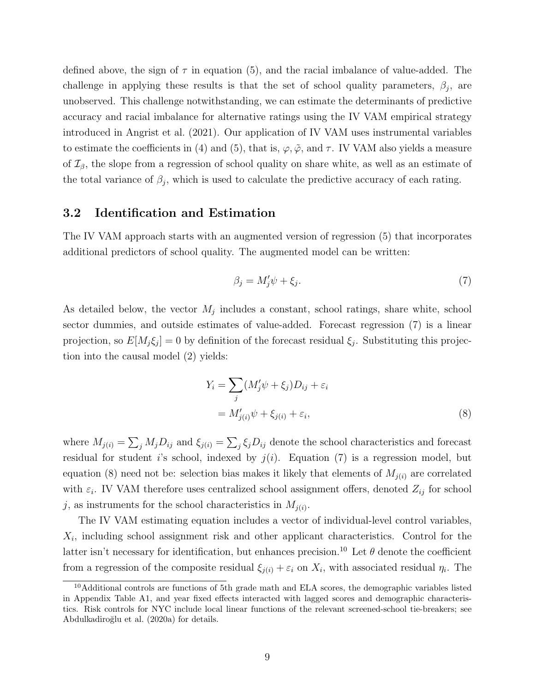defined above, the sign of  $\tau$  in equation [\(5\)](#page-8-3), and the racial imbalance of value-added. The challenge in applying these results is that the set of school quality parameters,  $\beta_j$ , are unobserved. This challenge notwithstanding, we can estimate the determinants of predictive accuracy and racial imbalance for alternative ratings using the IV VAM empirical strategy introduced in [Angrist et al. \(2021\)](#page-15-8). Our application of IV VAM uses instrumental variables to estimate the coefficients in [\(4\)](#page-8-1) and [\(5\)](#page-8-3), that is,  $\varphi, \tilde{\varphi}$ , and  $\tau$ . IV VAM also yields a measure of  $\mathcal{I}_{\beta}$ , the slope from a regression of school quality on share white, as well as an estimate of the total variance of  $\beta_j$ , which is used to calculate the predictive accuracy of each rating.

#### 3.2 Identification and Estimation

The IV VAM approach starts with an augmented version of regression [\(5\)](#page-8-3) that incorporates additional predictors of school quality. The augmented model can be written:

<span id="page-10-0"></span>
$$
\beta_j = M'_j \psi + \xi_j. \tag{7}
$$

As detailed below, the vector  $M_j$  includes a constant, school ratings, share white, school sector dummies, and outside estimates of value-added. Forecast regression [\(7\)](#page-10-0) is a linear projection, so  $E[M_j \xi_j] = 0$  by definition of the forecast residual  $\xi_j$ . Substituting this projection into the causal model [\(2\)](#page-7-1) yields:

<span id="page-10-1"></span>
$$
Y_i = \sum_j (M'_j \psi + \xi_j) D_{ij} + \varepsilon_i
$$
  
=  $M'_{j(i)} \psi + \xi_{j(i)} + \varepsilon_i,$  (8)

where  $M_{j(i)} = \sum_j M_j D_{ij}$  and  $\xi_{j(i)} = \sum_j \xi_j D_{ij}$  denote the school characteristics and forecast residual for student i's school, indexed by  $j(i)$ . Equation [\(7\)](#page-10-0) is a regression model, but equation [\(8\)](#page-10-1) need not be: selection bias makes it likely that elements of  $M_{j(i)}$  are correlated with  $\varepsilon_i$ . IV VAM therefore uses centralized school assignment offers, denoted  $Z_{ij}$  for school j, as instruments for the school characteristics in  $M_{j(i)}$ .

The IV VAM estimating equation includes a vector of individual-level control variables,  $X_i$ , including school assignment risk and other applicant characteristics. Control for the latter isn't necessary for identification, but enhances precision.<sup>[10](#page-10-2)</sup> Let  $\theta$  denote the coefficient from a regression of the composite residual  $\xi_{j(i)} + \varepsilon_i$  on  $X_i$ , with associated residual  $\eta_i$ . The

<span id="page-10-2"></span><sup>&</sup>lt;sup>10</sup>Additional controls are functions of 5th grade math and ELA scores, the demographic variables listed in Appendix Table [A1,](#page-24-0) and year fixed effects interacted with lagged scores and demographic characteristics. Risk controls for NYC include local linear functions of the relevant screened-school tie-breakers; see Abdulkadiroğlu et al. [\(2020a\)](#page-15-7) for details.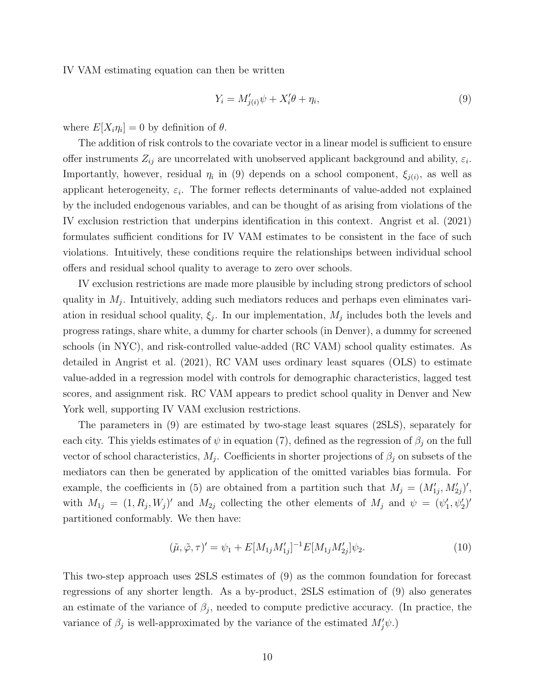IV VAM estimating equation can then be written

<span id="page-11-0"></span>
$$
Y_i = M'_{j(i)}\psi + X'_i\theta + \eta_i,\tag{9}
$$

where  $E[X_i \eta_i] = 0$  by definition of  $\theta$ .

The addition of risk controls to the covariate vector in a linear model is sufficient to ensure offer instruments  $Z_{ij}$  are uncorrelated with unobserved applicant background and ability,  $\varepsilon_i$ . Importantly, however, residual  $\eta_i$  in [\(9\)](#page-11-0) depends on a school component,  $\xi_{i(i)}$ , as well as applicant heterogeneity,  $\varepsilon_i$ . The former reflects determinants of value-added not explained by the included endogenous variables, and can be thought of as arising from violations of the IV exclusion restriction that underpins identification in this context. [Angrist et al. \(2021\)](#page-15-8) formulates sufficient conditions for IV VAM estimates to be consistent in the face of such violations. Intuitively, these conditions require the relationships between individual school offers and residual school quality to average to zero over schools.

IV exclusion restrictions are made more plausible by including strong predictors of school quality in  $M_j$ . Intuitively, adding such mediators reduces and perhaps even eliminates variation in residual school quality,  $\xi_j$ . In our implementation,  $M_j$  includes both the levels and progress ratings, share white, a dummy for charter schools (in Denver), a dummy for screened schools (in NYC), and risk-controlled value-added (RC VAM) school quality estimates. As detailed in [Angrist et al. \(2021\)](#page-15-8), RC VAM uses ordinary least squares (OLS) to estimate value-added in a regression model with controls for demographic characteristics, lagged test scores, and assignment risk. RC VAM appears to predict school quality in Denver and New York well, supporting IV VAM exclusion restrictions.

The parameters in [\(9\)](#page-11-0) are estimated by two-stage least squares (2SLS), separately for each city. This yields estimates of  $\psi$  in equation [\(7\)](#page-10-0), defined as the regression of  $\beta_j$  on the full vector of school characteristics,  $M_j$ . Coefficients in shorter projections of  $\beta_j$  on subsets of the mediators can then be generated by application of the omitted variables bias formula. For example, the coefficients in [\(5\)](#page-8-3) are obtained from a partition such that  $M_j = (M'_{1j}, M'_{2j})'$ , with  $M_{1j} = (1, R_j, W_j)'$  and  $M_{2j}$  collecting the other elements of  $M_j$  and  $\psi = (\psi_1', \psi_2')'$ partitioned conformably. We then have:

$$
(\tilde{\mu}, \tilde{\varphi}, \tau)' = \psi_1 + E[M_{1j}M'_{1j}]^{-1}E[M_{1j}M'_{2j}]\psi_2.
$$
\n(10)

This two-step approach uses 2SLS estimates of [\(9\)](#page-11-0) as the common foundation for forecast regressions of any shorter length. As a by-product, 2SLS estimation of [\(9\)](#page-11-0) also generates an estimate of the variance of  $\beta_j$ , needed to compute predictive accuracy. (In practice, the variance of  $\beta_j$  is well-approximated by the variance of the estimated  $M'_j\psi$ .)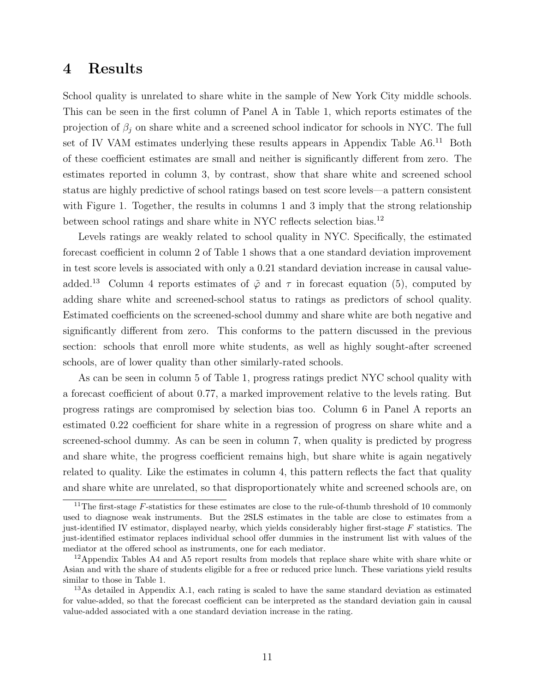### <span id="page-12-0"></span>4 Results

School quality is unrelated to share white in the sample of New York City middle schools. This can be seen in the first column of Panel A in Table [1,](#page-19-0) which reports estimates of the projection of  $\beta_j$  on share white and a screened school indicator for schools in NYC. The full set of IV VAM estimates underlying these results appears in Appendix Table [A6.](#page-29-0)<sup>[11](#page-12-1)</sup> Both of these coefficient estimates are small and neither is significantly different from zero. The estimates reported in column 3, by contrast, show that share white and screened school status are highly predictive of school ratings based on test score levels—a pattern consistent with Figure [1.](#page-17-0) Together, the results in columns 1 and 3 imply that the strong relationship between school ratings and share white in NYC reflects selection bias.[12](#page-12-2)

Levels ratings are weakly related to school quality in NYC. Specifically, the estimated forecast coefficient in column 2 of Table [1](#page-19-0) shows that a one standard deviation improvement in test score levels is associated with only a 0.21 standard deviation increase in causal value-added.<sup>[13](#page-12-3)</sup> Column 4 reports estimates of  $\tilde{\varphi}$  and  $\tau$  in forecast equation [\(5\)](#page-8-3), computed by adding share white and screened-school status to ratings as predictors of school quality. Estimated coefficients on the screened-school dummy and share white are both negative and significantly different from zero. This conforms to the pattern discussed in the previous section: schools that enroll more white students, as well as highly sought-after screened schools, are of lower quality than other similarly-rated schools.

As can be seen in column 5 of Table [1,](#page-19-0) progress ratings predict NYC school quality with a forecast coefficient of about 0.77, a marked improvement relative to the levels rating. But progress ratings are compromised by selection bias too. Column 6 in Panel A reports an estimated 0.22 coefficient for share white in a regression of progress on share white and a screened-school dummy. As can be seen in column 7, when quality is predicted by progress and share white, the progress coefficient remains high, but share white is again negatively related to quality. Like the estimates in column 4, this pattern reflects the fact that quality and share white are unrelated, so that disproportionately white and screened schools are, on

<span id="page-12-1"></span><sup>&</sup>lt;sup>11</sup>The first-stage  $F$ -statistics for these estimates are close to the rule-of-thumb threshold of 10 commonly used to diagnose weak instruments. But the 2SLS estimates in the table are close to estimates from a just-identified IV estimator, displayed nearby, which yields considerably higher first-stage F statistics. The just-identified estimator replaces individual school offer dummies in the instrument list with values of the mediator at the offered school as instruments, one for each mediator.

<span id="page-12-2"></span><sup>&</sup>lt;sup>12</sup>Appendix Tables [A4](#page-27-0) and [A5](#page-28-0) report results from models that replace share white with share white or Asian and with the share of students eligible for a free or reduced price lunch. These variations yield results similar to those in Table [1.](#page-19-0)

<span id="page-12-3"></span><sup>&</sup>lt;sup>13</sup>As detailed in Appendix [A.1,](#page-21-0) each rating is scaled to have the same standard deviation as estimated for value-added, so that the forecast coefficient can be interpreted as the standard deviation gain in causal value-added associated with a one standard deviation increase in the rating.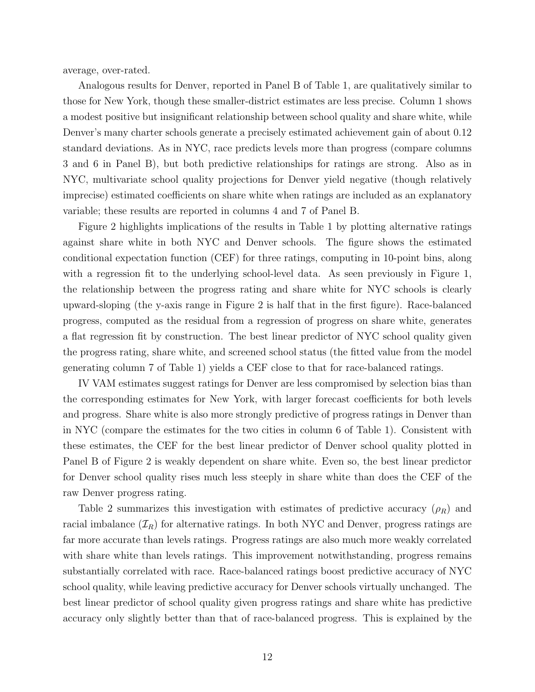average, over-rated.

Analogous results for Denver, reported in Panel B of Table [1,](#page-19-0) are qualitatively similar to those for New York, though these smaller-district estimates are less precise. Column 1 shows a modest positive but insignificant relationship between school quality and share white, while Denver's many charter schools generate a precisely estimated achievement gain of about 0.12 standard deviations. As in NYC, race predicts levels more than progress (compare columns 3 and 6 in Panel B), but both predictive relationships for ratings are strong. Also as in NYC, multivariate school quality projections for Denver yield negative (though relatively imprecise) estimated coefficients on share white when ratings are included as an explanatory variable; these results are reported in columns 4 and 7 of Panel B.

Figure [2](#page-18-0) highlights implications of the results in Table [1](#page-19-0) by plotting alternative ratings against share white in both NYC and Denver schools. The figure shows the estimated conditional expectation function (CEF) for three ratings, computing in 10-point bins, along with a regression fit to the underlying school-level data. As seen previously in Figure [1,](#page-17-0) the relationship between the progress rating and share white for NYC schools is clearly upward-sloping (the y-axis range in Figure [2](#page-18-0) is half that in the first figure). Race-balanced progress, computed as the residual from a regression of progress on share white, generates a flat regression fit by construction. The best linear predictor of NYC school quality given the progress rating, share white, and screened school status (the fitted value from the model generating column 7 of Table [1\)](#page-19-0) yields a CEF close to that for race-balanced ratings.

IV VAM estimates suggest ratings for Denver are less compromised by selection bias than the corresponding estimates for New York, with larger forecast coefficients for both levels and progress. Share white is also more strongly predictive of progress ratings in Denver than in NYC (compare the estimates for the two cities in column 6 of Table [1\)](#page-19-0). Consistent with these estimates, the CEF for the best linear predictor of Denver school quality plotted in Panel B of Figure [2](#page-18-0) is weakly dependent on share white. Even so, the best linear predictor for Denver school quality rises much less steeply in share white than does the CEF of the raw Denver progress rating.

Table [2](#page-20-0) summarizes this investigation with estimates of predictive accuracy  $(\rho_R)$  and racial imbalance  $(\mathcal{I}_R)$  for alternative ratings. In both NYC and Denver, progress ratings are far more accurate than levels ratings. Progress ratings are also much more weakly correlated with share white than levels ratings. This improvement notwithstanding, progress remains substantially correlated with race. Race-balanced ratings boost predictive accuracy of NYC school quality, while leaving predictive accuracy for Denver schools virtually unchanged. The best linear predictor of school quality given progress ratings and share white has predictive accuracy only slightly better than that of race-balanced progress. This is explained by the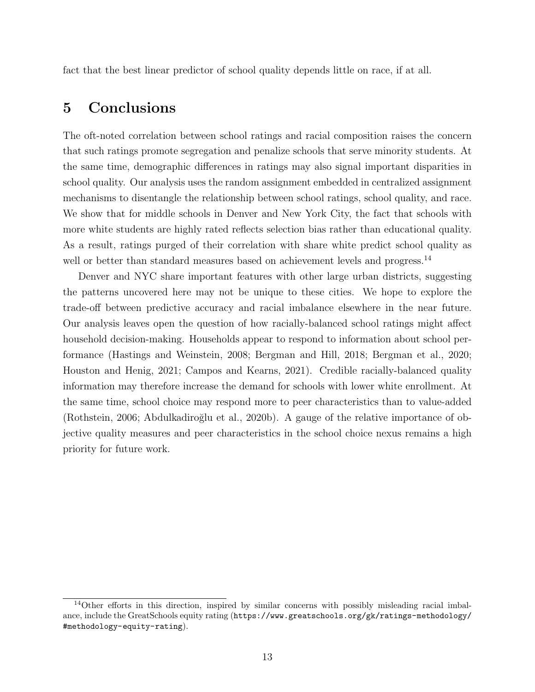fact that the best linear predictor of school quality depends little on race, if at all.

## <span id="page-14-0"></span>5 Conclusions

The oft-noted correlation between school ratings and racial composition raises the concern that such ratings promote segregation and penalize schools that serve minority students. At the same time, demographic differences in ratings may also signal important disparities in school quality. Our analysis uses the random assignment embedded in centralized assignment mechanisms to disentangle the relationship between school ratings, school quality, and race. We show that for middle schools in Denver and New York City, the fact that schools with more white students are highly rated reflects selection bias rather than educational quality. As a result, ratings purged of their correlation with share white predict school quality as well or better than standard measures based on achievement levels and progress.<sup>[14](#page-14-1)</sup>

Denver and NYC share important features with other large urban districts, suggesting the patterns uncovered here may not be unique to these cities. We hope to explore the trade-off between predictive accuracy and racial imbalance elsewhere in the near future. Our analysis leaves open the question of how racially-balanced school ratings might affect household decision-making. Households appear to respond to information about school performance [\(Hastings and Weinstein, 2008;](#page-16-11) [Bergman and Hill, 2018;](#page-15-0) [Bergman et al., 2020;](#page-15-12) [Houston and Henig, 2021;](#page-16-12) [Campos and Kearns, 2021\)](#page-15-13). Credible racially-balanced quality information may therefore increase the demand for schools with lower white enrollment. At the same time, school choice may respond more to peer characteristics than to value-added [\(Rothstein, 2006;](#page-16-13) Abdulkadiroğlu et al., 2020b). A gauge of the relative importance of objective quality measures and peer characteristics in the school choice nexus remains a high priority for future work.

<span id="page-14-1"></span><sup>14</sup>Other efforts in this direction, inspired by similar concerns with possibly misleading racial imbalance, include the GreatSchools equity rating ([https://www.greatschools.org/gk/ratings-methodology/](https://www.greatschools.org/gk/ratings-methodology/#methodology-equity-rating) [#methodology-equity-rating](https://www.greatschools.org/gk/ratings-methodology/#methodology-equity-rating)).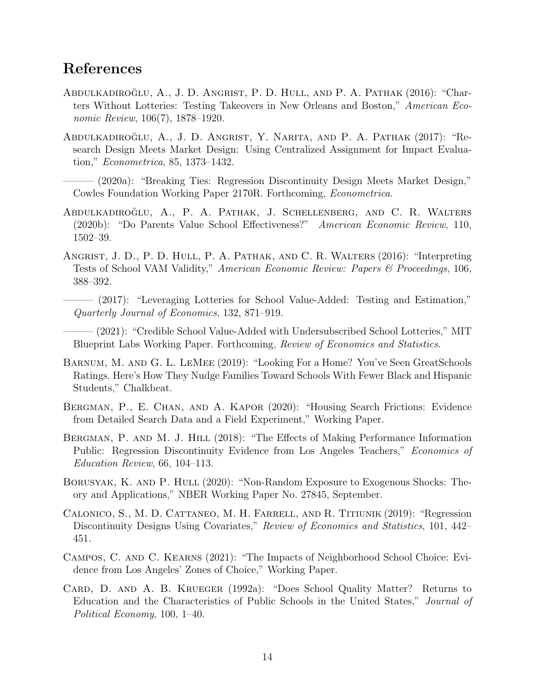## References

- <span id="page-15-1"></span>Abdulkadiroğlu, A., J. D. Angrist, P. D. Hull, and P. A. Pathak (2016): "Charters Without Lotteries: Testing Takeovers in New Orleans and Boston," American Economic Review, 106(7), 1878–1920.
- <span id="page-15-6"></span>ABDULKADIROĞLU, A., J. D. ANGRIST, Y. NARITA, AND P. A. PATHAK (2017): "Research Design Meets Market Design: Using Centralized Assignment for Impact Evaluation," Econometrica, 85, 1373–1432.
	- ——— (2020a): "Breaking Ties: Regression Discontinuity Design Meets Market Design," Cowles Foundation Working Paper 2170R. Forthcoming, Econometrica.
- <span id="page-15-7"></span><span id="page-15-5"></span>ABDULKADIROĞLU, A., P. A. PATHAK, J. SCHELLENBERG, AND C. R. WALTERS (2020b): "Do Parents Value School Effectiveness?" American Economic Review, 110, 1502–39.
- <span id="page-15-11"></span><span id="page-15-4"></span>ANGRIST, J. D., P. D. HULL, P. A. PATHAK, AND C. R. WALTERS (2016): "Interpreting Tests of School VAM Validity," American Economic Review: Papers & Proceedings, 106, 388–392.
	- ——— (2017): "Leveraging Lotteries for School Value-Added: Testing and Estimation," Quarterly Journal of Economics, 132, 871–919.

<span id="page-15-8"></span>– (2021): "Credible School Value-Added with Undersubscribed School Lotteries," MIT Blueprint Labs Working Paper. Forthcoming, Review of Economics and Statistics.

- <span id="page-15-2"></span>Barnum, M. and G. L. LeMee (2019): "Looking For a Home? You've Seen GreatSchools Ratings. Here's How They Nudge Families Toward Schools With Fewer Black and Hispanic Students," Chalkbeat.
- <span id="page-15-12"></span>Bergman, P., E. Chan, and A. Kapor (2020): "Housing Search Frictions: Evidence from Detailed Search Data and a Field Experiment," Working Paper.
- <span id="page-15-0"></span>BERGMAN, P. AND M. J. HILL (2018): "The Effects of Making Performance Information Public: Regression Discontinuity Evidence from Los Angeles Teachers," *Economics of* Education Review, 66, 104–113.
- <span id="page-15-10"></span>BORUSYAK, K. AND P. HULL (2020): "Non-Random Exposure to Exogenous Shocks: Theory and Applications," NBER Working Paper No. 27845, September.
- <span id="page-15-9"></span>Calonico, S., M. D. Cattaneo, M. H. Farrell, and R. Titiunik (2019): "Regression Discontinuity Designs Using Covariates," Review of Economics and Statistics, 101, 442– 451.
- <span id="page-15-13"></span>Campos, C. and C. Kearns (2021): "The Impacts of Neighborhood School Choice: Evidence from Los Angeles' Zones of Choice," Working Paper.
- <span id="page-15-3"></span>Card, D. and A. B. Krueger (1992a): "Does School Quality Matter? Returns to Education and the Characteristics of Public Schools in the United States," Journal of Political Economy, 100, 1–40.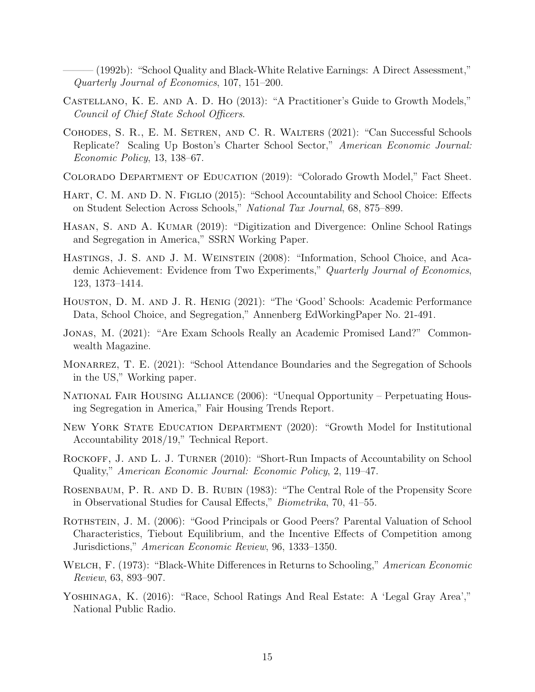<span id="page-16-6"></span>– (1992b): "School Quality and Black-White Relative Earnings: A Direct Assessment," Quarterly Journal of Economics, 107, 151–200.

- <span id="page-16-14"></span>Castellano, K. E. and A. D. Ho (2013): "A Practitioner's Guide to Growth Models," Council of Chief State School Officers.
- <span id="page-16-2"></span>Cohodes, S. R., E. M. Setren, and C. R. Walters (2021): "Can Successful Schools Replicate? Scaling Up Boston's Charter School Sector," American Economic Journal: Economic Policy, 13, 138–67.
- <span id="page-16-16"></span>Colorado Department of Education (2019): "Colorado Growth Model," Fact Sheet.
- <span id="page-16-9"></span>HART, C. M. AND D. N. FIGLIO (2015): "School Accountability and School Choice: Effects on Student Selection Across Schools," National Tax Journal, 68, 875–899.
- <span id="page-16-0"></span>HASAN, S. AND A. KUMAR (2019): "Digitization and Divergence: Online School Ratings and Segregation in America," SSRN Working Paper.
- <span id="page-16-11"></span>Hastings, J. S. and J. M. Weinstein (2008): "Information, School Choice, and Academic Achievement: Evidence from Two Experiments," Quarterly Journal of Economics, 123, 1373–1414.
- <span id="page-16-12"></span>Houston, D. M. and J. R. Henig (2021): "The 'Good' Schools: Academic Performance Data, School Choice, and Segregation," Annenberg EdWorkingPaper No. 21-491.
- <span id="page-16-8"></span>Jonas, M. (2021): "Are Exam Schools Really an Academic Promised Land?" Commonwealth Magazine.
- <span id="page-16-7"></span>MONARREZ, T. E. (2021): "School Attendance Boundaries and the Segregation of Schools in the US," Working paper.
- <span id="page-16-3"></span>National Fair Housing Alliance (2006): "Unequal Opportunity – Perpetuating Housing Segregation in America," Fair Housing Trends Report.
- <span id="page-16-15"></span>NEW YORK STATE EDUCATION DEPARTMENT (2020): "Growth Model for Institutional Accountability 2018/19," Technical Report.
- <span id="page-16-1"></span>ROCKOFF, J. AND L. J. TURNER (2010): "Short-Run Impacts of Accountability on School Quality," American Economic Journal: Economic Policy, 2, 119–47.
- <span id="page-16-10"></span>Rosenbaum, P. R. and D. B. Rubin (1983): "The Central Role of the Propensity Score in Observational Studies for Causal Effects," Biometrika, 70, 41–55.
- <span id="page-16-13"></span>ROTHSTEIN, J. M. (2006): "Good Principals or Good Peers? Parental Valuation of School Characteristics, Tiebout Equilibrium, and the Incentive Effects of Competition among Jurisdictions," American Economic Review, 96, 1333–1350.
- <span id="page-16-5"></span>WELCH, F. (1973): "Black-White Differences in Returns to Schooling," American Economic Review, 63, 893–907.
- <span id="page-16-4"></span>Yoshinaga, K. (2016): "Race, School Ratings And Real Estate: A 'Legal Gray Area'," National Public Radio.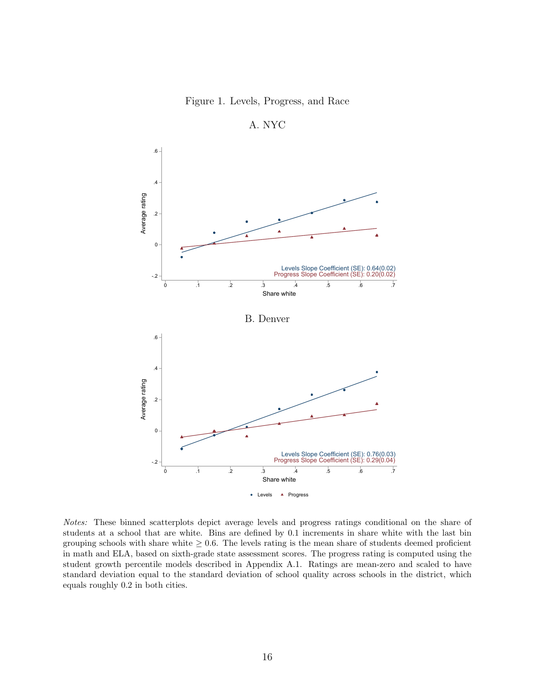Figure 1. Levels, Progress, and Race

<span id="page-17-0"></span>

A. NYC

Notes: These binned scatterplots depict average levels and progress ratings conditional on the share of students at a school that are white. Bins are defined by 0.1 increments in share white with the last bin grouping schools with share white  $\geq 0.6$ . The levels rating is the mean share of students deemed proficient in math and ELA, based on sixth-grade state assessment scores. The progress rating is computed using the student growth percentile models described in Appendix [A.1.](#page-21-0) Ratings are mean-zero and scaled to have standard deviation equal to the standard deviation of school quality across schools in the district, which equals roughly 0.2 in both cities.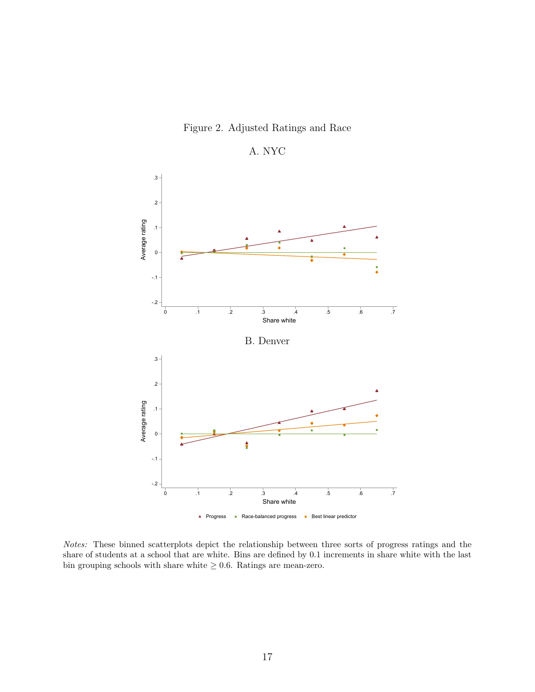

<span id="page-18-0"></span>

A. NYC

Notes: These binned scatterplots depict the relationship between three sorts of progress ratings and the share of students at a school that are white. Bins are defined by 0.1 increments in share white with the last bin grouping schools with share white  $\geq 0.6$ . Ratings are mean-zero.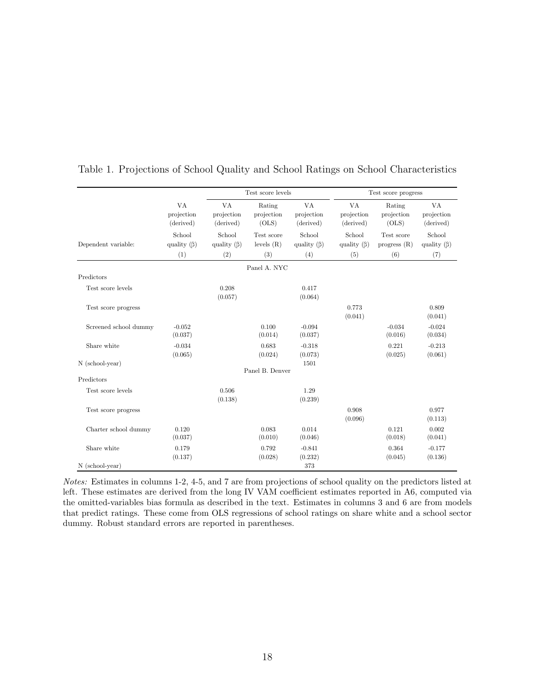|                       |                                    | Test score levels                  |                                   | Test score progress                |                                      |                                     |                                    |
|-----------------------|------------------------------------|------------------------------------|-----------------------------------|------------------------------------|--------------------------------------|-------------------------------------|------------------------------------|
|                       | VA<br>projection<br>(derived)      | VA<br>projection<br>(derived)      | Rating<br>projection<br>(OLS)     | VA<br>projection<br>(derived)      | <b>VA</b><br>projection<br>(derived) | Rating<br>projection<br>(OLS)       | VA<br>projection<br>(derived)      |
| Dependent variable:   | School<br>quality $(\beta)$<br>(1) | School<br>quality $(\beta)$<br>(2) | Test score<br>levels $(R)$<br>(3) | School<br>quality $(\beta)$<br>(4) | School<br>quality $(\beta)$<br>(5)   | Test score<br>progress $(R)$<br>(6) | School<br>quality $(\beta)$<br>(7) |
|                       |                                    |                                    | Panel A. NYC                      |                                    |                                      |                                     |                                    |
| Predictors            |                                    |                                    |                                   |                                    |                                      |                                     |                                    |
| Test score levels     |                                    | 0.208<br>(0.057)                   |                                   | 0.417<br>(0.064)                   |                                      |                                     |                                    |
| Test score progress   |                                    |                                    |                                   |                                    | 0.773<br>(0.041)                     |                                     | 0.809<br>(0.041)                   |
| Screened school dummy | $-0.052$<br>(0.037)                |                                    | 0.100<br>(0.014)                  | $-0.094$<br>(0.037)                |                                      | $-0.034$<br>(0.016)                 | $-0.024$<br>(0.034)                |
| Share white           | $-0.034$<br>(0.065)                |                                    | 0.683<br>(0.024)                  | $-0.318$<br>(0.073)                |                                      | 0.221<br>(0.025)                    | $-0.213$<br>(0.061)                |
| N (school-year)       |                                    |                                    |                                   | 1501                               |                                      |                                     |                                    |
| Predictors            |                                    |                                    | Panel B. Denver                   |                                    |                                      |                                     |                                    |
|                       |                                    |                                    |                                   |                                    |                                      |                                     |                                    |
| Test score levels     |                                    | 0.506<br>(0.138)                   |                                   | 1.29<br>(0.239)                    |                                      |                                     |                                    |
| Test score progress   |                                    |                                    |                                   |                                    | 0.908<br>(0.096)                     |                                     | 0.977<br>(0.113)                   |
| Charter school dummy  | 0.120<br>(0.037)                   |                                    | 0.083<br>(0.010)                  | 0.014<br>(0.046)                   |                                      | 0.121<br>(0.018)                    | 0.002<br>(0.041)                   |
| Share white           | 0.179<br>(0.137)                   |                                    | 0.792<br>(0.028)                  | $-0.841$<br>(0.232)                |                                      | 0.364<br>(0.045)                    | $-0.177$<br>(0.136)                |
| $N$ (school-year)     |                                    |                                    |                                   | 373                                |                                      |                                     |                                    |

<span id="page-19-0"></span>Table 1. Projections of School Quality and School Ratings on School Characteristics

Notes: Estimates in columns 1-2, 4-5, and 7 are from projections of school quality on the predictors listed at left. These estimates are derived from the long IV VAM coefficient estimates reported in [A6,](#page-29-0) computed via the omitted-variables bias formula as described in the text. Estimates in columns 3 and 6 are from models that predict ratings. These come from OLS regressions of school ratings on share white and a school sector dummy. Robust standard errors are reported in parentheses.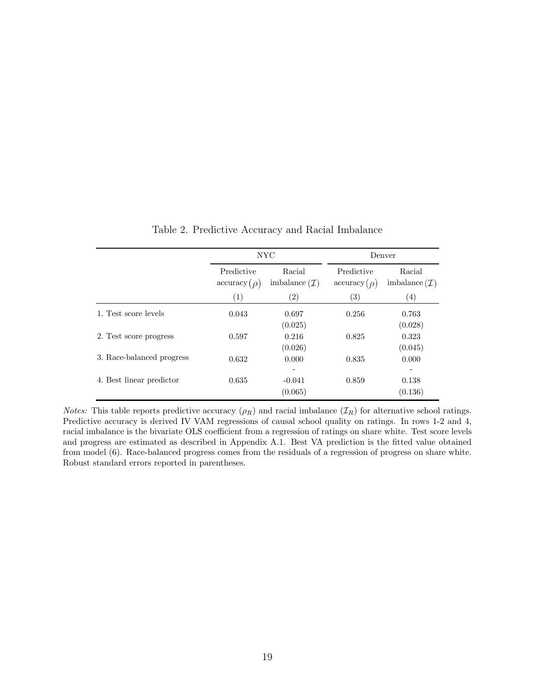<span id="page-20-0"></span>

|                           |                                  | NYC                                 | Denver                           |                                     |  |
|---------------------------|----------------------------------|-------------------------------------|----------------------------------|-------------------------------------|--|
|                           | Predictive<br>$\arccuracy(\rho)$ | Racial<br>imbalance $(\mathcal{I})$ | Predictive<br>$\arccuracy(\rho)$ | Racial<br>imbalance $(\mathcal{I})$ |  |
|                           | (1)                              | $\left( 2\right)$                   | $\left( 3\right)$                | $\left( 4\right)$                   |  |
| 1. Test score levels      | 0.043                            | 0.697<br>(0.025)                    | 0.256                            | 0.763<br>(0.028)                    |  |
| 2. Test score progress    | 0.597                            | 0.216<br>(0.026)                    | 0.825                            | 0.323<br>(0.045)                    |  |
| 3. Race-balanced progress | 0.632                            | 0.000                               | 0.835                            | 0.000                               |  |
| 4. Best linear predictor  | 0.635                            | $-0.041$<br>(0.065)                 | 0.859                            | 0.138<br>(0.136)                    |  |

Table 2. Predictive Accuracy and Racial Imbalance

*Notes:* This table reports predictive accuracy  $(\rho_R)$  and racial imbalance  $(\mathcal{I}_R)$  for alternative school ratings. Predictive accuracy is derived IV VAM regressions of causal school quality on ratings. In rows 1-2 and 4, racial imbalance is the bivariate OLS coefficient from a regression of ratings on share white. Test score levels and progress are estimated as described in Appendix [A.1.](#page-21-0) Best VA prediction is the fitted value obtained from model [\(6\)](#page-9-4). Race-balanced progress comes from the residuals of a regression of progress on share white. Robust standard errors reported in parentheses.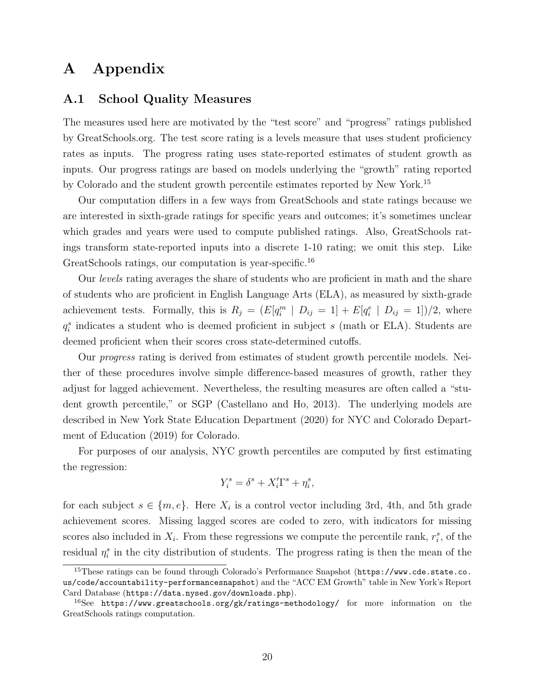## A Appendix

#### <span id="page-21-0"></span>A.1 School Quality Measures

The measures used here are motivated by the "test score" and "progress" ratings published by GreatSchools.org. The test score rating is a levels measure that uses student proficiency rates as inputs. The progress rating uses state-reported estimates of student growth as inputs. Our progress ratings are based on models underlying the "growth" rating reported by Colorado and the student growth percentile estimates reported by New York.[15](#page-21-1)

Our computation differs in a few ways from GreatSchools and state ratings because we are interested in sixth-grade ratings for specific years and outcomes; it's sometimes unclear which grades and years were used to compute published ratings. Also, GreatSchools ratings transform state-reported inputs into a discrete 1-10 rating; we omit this step. Like GreatSchools ratings, our computation is year-specific.<sup>[16](#page-21-2)</sup>

Our levels rating averages the share of students who are proficient in math and the share of students who are proficient in English Language Arts (ELA), as measured by sixth-grade achievement tests. Formally, this is  $R_j = (E[q_i^m \mid D_{ij} = 1] + E[q_i^e \mid D_{ij} = 1])/2$ , where  $q_i^s$  indicates a student who is deemed proficient in subject s (math or ELA). Students are deemed proficient when their scores cross state-determined cutoffs.

Our *progress* rating is derived from estimates of student growth percentile models. Neither of these procedures involve simple difference-based measures of growth, rather they adjust for lagged achievement. Nevertheless, the resulting measures are often called a "student growth percentile," or SGP [\(Castellano and Ho, 2013\)](#page-16-14). The underlying models are described in [New York State Education Department \(2020\)](#page-16-15) for NYC and [Colorado Depart](#page-16-16)[ment of Education \(2019\)](#page-16-16) for Colorado.

For purposes of our analysis, NYC growth percentiles are computed by first estimating the regression:

$$
Y_i^s = \delta^s + X_i'\Gamma^s + \eta_i^s,
$$

for each subject  $s \in \{m, e\}$ . Here  $X_i$  is a control vector including 3rd, 4th, and 5th grade achievement scores. Missing lagged scores are coded to zero, with indicators for missing scores also included in  $X_i$ . From these regressions we compute the percentile rank,  $r_i^s$ , of the residual  $\eta_i^s$  in the city distribution of students. The progress rating is then the mean of the

<span id="page-21-1"></span><sup>&</sup>lt;sup>15</sup>These ratings can be found through Colorado's Performance Snapshot ([https://www.cde.state.co.](https://www.cde.state.co.us/code/accountability-performancesnapshot) [us/code/accountability-performancesnapshot](https://www.cde.state.co.us/code/accountability-performancesnapshot)) and the "ACC EM Growth" table in New York's Report Card Database (<https://data.nysed.gov/downloads.php>).

<span id="page-21-2"></span><sup>&</sup>lt;sup>16</sup>See <https://www.greatschools.org/gk/ratings-methodology/> for more information on the GreatSchools ratings computation.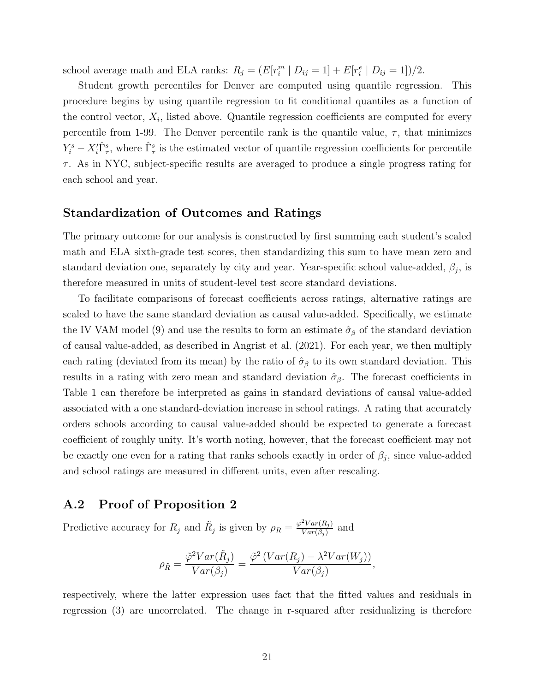school average math and ELA ranks:  $R_j = (E[r_i^m | D_{ij} = 1] + E[r_i^e | D_{ij} = 1])/2$ .

Student growth percentiles for Denver are computed using quantile regression. This procedure begins by using quantile regression to fit conditional quantiles as a function of the control vector,  $X_i$ , listed above. Quantile regression coefficients are computed for every percentile from 1-99. The Denver percentile rank is the quantile value,  $\tau$ , that minimizes  $Y_i^s - X_i^{\prime} \hat{\Gamma}_{\tau}^s$ , where  $\hat{\Gamma}_{\tau}^s$  is the estimated vector of quantile regression coefficients for percentile  $\tau$ . As in NYC, subject-specific results are averaged to produce a single progress rating for each school and year.

#### Standardization of Outcomes and Ratings

The primary outcome for our analysis is constructed by first summing each student's scaled math and ELA sixth-grade test scores, then standardizing this sum to have mean zero and standard deviation one, separately by city and year. Year-specific school value-added,  $\beta_j$ , is therefore measured in units of student-level test score standard deviations.

To facilitate comparisons of forecast coefficients across ratings, alternative ratings are scaled to have the same standard deviation as causal value-added. Specifically, we estimate the IV VAM model [\(9\)](#page-11-0) and use the results to form an estimate  $\hat{\sigma}_{\beta}$  of the standard deviation of causal value-added, as described in [Angrist et al. \(2021\)](#page-15-8). For each year, we then multiply each rating (deviated from its mean) by the ratio of  $\hat{\sigma}_{\beta}$  to its own standard deviation. This results in a rating with zero mean and standard deviation  $\hat{\sigma}_{\beta}$ . The forecast coefficients in Table [1](#page-19-0) can therefore be interpreted as gains in standard deviations of causal value-added associated with a one standard-deviation increase in school ratings. A rating that accurately orders schools according to causal value-added should be expected to generate a forecast coefficient of roughly unity. It's worth noting, however, that the forecast coefficient may not be exactly one even for a rating that ranks schools exactly in order of  $\beta_j$ , since value-added and school ratings are measured in different units, even after rescaling.

#### <span id="page-22-0"></span>A.2 Proof of Proposition [2](#page-9-1)

Predictive accuracy for  $R_j$  and  $\tilde{R}_j$  is given by  $\rho_R = \frac{\varphi^2 Var(R_j)}{Var(\beta_j)}$  $\frac{\partial \textit{Var}(R_j)}{\partial \textit{Var}(\beta_j)}$  and

$$
\rho_{\tilde{R}} = \frac{\tilde{\varphi}^2 Var(\tilde{R}_j)}{Var(\beta_j)} = \frac{\tilde{\varphi}^2 \left( Var(R_j) - \lambda^2 Var(W_j) \right)}{Var(\beta_j)},
$$

respectively, where the latter expression uses fact that the fitted values and residuals in regression [\(3\)](#page-8-4) are uncorrelated. The change in r-squared after residualizing is therefore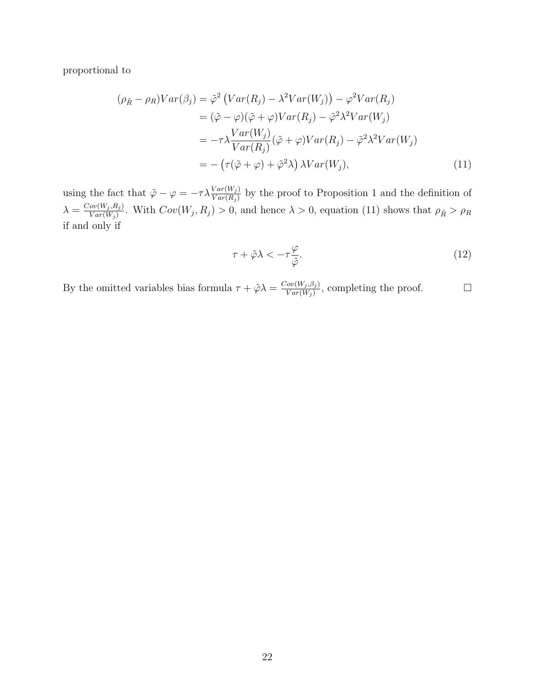proportional to

$$
(\rho_{\tilde{R}} - \rho_R)Var(\beta_j) = \tilde{\varphi}^2 \left( Var(R_j) - \lambda^2 Var(W_j) \right) - \varphi^2 Var(R_j)
$$
  
\n
$$
= (\tilde{\varphi} - \varphi)(\tilde{\varphi} + \varphi)Var(R_j) - \tilde{\varphi}^2 \lambda^2 Var(W_j)
$$
  
\n
$$
= -\tau \lambda \frac{Var(W_j)}{Var(R_j)} (\tilde{\varphi} + \varphi)Var(R_j) - \tilde{\varphi}^2 \lambda^2 Var(W_j)
$$
  
\n
$$
= -(\tau(\tilde{\varphi} + \varphi) + \tilde{\varphi}^2 \lambda) \lambda Var(W_j), \qquad (11)
$$

using the fact that  $\tilde{\varphi} - \varphi = -\tau \lambda \frac{Var(W_j)}{Var(R_j)}$  by the proof to Proposition [1](#page-8-2) and the definition of  $\lambda = \frac{Cov(W_j, R_j)}{Var(W_i)}$  $\frac{\partial v(W_j, R_j)}{\partial \text{Var}(W_j)}$ . With  $Cov(W_j, R_j) > 0$ , and hence  $\lambda > 0$ , equation [\(11\)](#page-23-0) shows that  $\rho_{\tilde{R}} > \rho_R$ if and only if

<span id="page-23-0"></span>
$$
\tau + \tilde{\varphi}\lambda < -\tau \frac{\varphi}{\tilde{\varphi}}.\tag{12}
$$

By the omitted variables bias formula  $\tau + \tilde{\varphi}\lambda = \frac{Cov(W_j, \beta_j)}{Var(W_j)}$  $\frac{Cov(W_j, \beta_j)}{Var(W_j)}$ , completing the proof.  $\Box$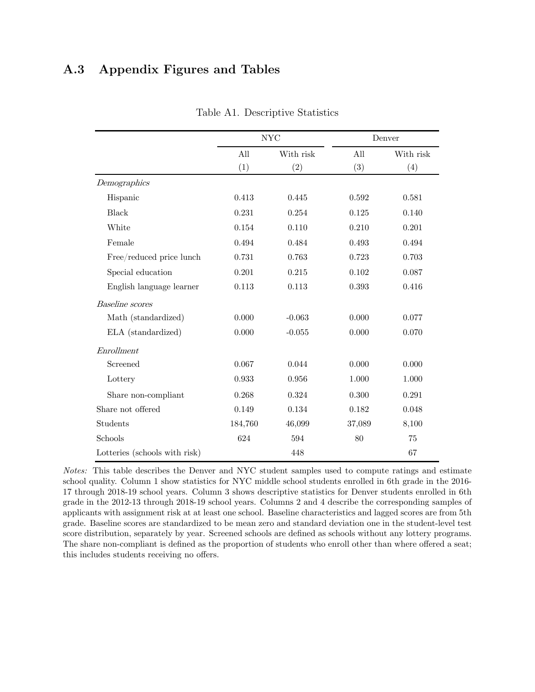## <span id="page-24-0"></span>A.3 Appendix Figures and Tables

|                               |         | <b>NYC</b> |        | Denver    |
|-------------------------------|---------|------------|--------|-----------|
|                               | All     | With risk  | All    | With risk |
|                               | (1)     | (2)        | (3)    | (4)       |
| Demographics                  |         |            |        |           |
| Hispanic                      | 0.413   | 0.445      | 0.592  | 0.581     |
| Black                         | 0.231   | 0.254      | 0.125  | 0.140     |
| White                         | 0.154   | 0.110      | 0.210  | 0.201     |
| Female                        | 0.494   | 0.484      | 0.493  | 0.494     |
| Free/reduced price lunch      | 0.731   | 0.763      | 0.723  | 0.703     |
| Special education             | 0.201   | 0.215      | 0.102  | 0.087     |
| English language learner      | 0.113   | 0.113      | 0.393  | 0.416     |
| <b>Baseline</b> scores        |         |            |        |           |
| Math (standardized)           | 0.000   | $-0.063$   | 0.000  | 0.077     |
| ELA (standardized)            | 0.000   | $-0.055$   | 0.000  | 0.070     |
| Enrollment                    |         |            |        |           |
| Screened                      | 0.067   | 0.044      | 0.000  | 0.000     |
| Lottery                       | 0.933   | 0.956      | 1.000  | 1.000     |
| Share non-compliant           | 0.268   | 0.324      | 0.300  | 0.291     |
| Share not offered             | 0.149   | 0.134      | 0.182  | 0.048     |
| Students                      | 184,760 | 46,099     | 37,089 | 8,100     |
| Schools                       | 624     | 594        | 80     | $75\,$    |
| Lotteries (schools with risk) |         | 448        |        | 67        |

Table A1. Descriptive Statistics

Notes: This table describes the Denver and NYC student samples used to compute ratings and estimate school quality. Column 1 show statistics for NYC middle school students enrolled in 6th grade in the 2016- 17 through 2018-19 school years. Column 3 shows descriptive statistics for Denver students enrolled in 6th grade in the 2012-13 through 2018-19 school years. Columns 2 and 4 describe the corresponding samples of applicants with assignment risk at at least one school. Baseline characteristics and lagged scores are from 5th grade. Baseline scores are standardized to be mean zero and standard deviation one in the student-level test score distribution, separately by year. Screened schools are defined as schools without any lottery programs. The share non-compliant is defined as the proportion of students who enroll other than where offered a seat; this includes students receiving no offers.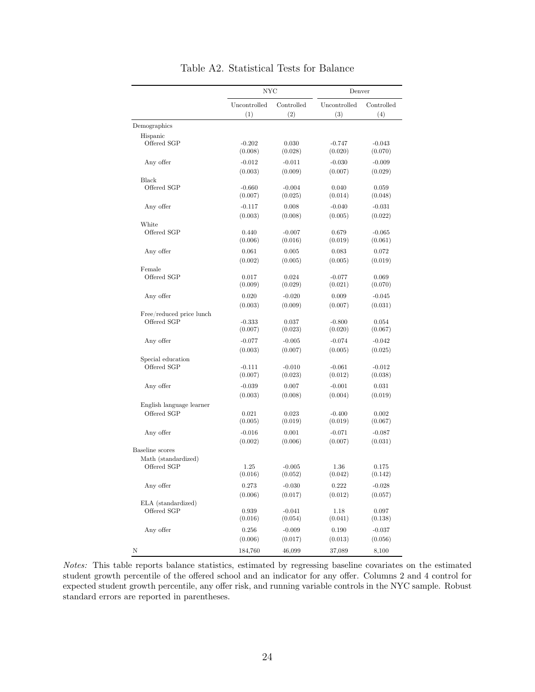<span id="page-25-0"></span>

|                          | NYC                 |                     | Denver              |                     |  |
|--------------------------|---------------------|---------------------|---------------------|---------------------|--|
|                          | Uncontrolled        | Controlled          | Uncontrolled        | Controlled          |  |
|                          | (1)                 | (2)                 | (3)                 | (4)                 |  |
| Demographics             |                     |                     |                     |                     |  |
| Hispanic<br>Offered SGP  | $-0.202$            | 0.030               | $-0.747$            | $-0.043$            |  |
|                          | (0.008)             | (0.028)             | (0.020)             | (0.070)             |  |
| Any offer                | $-0.012$            | $-0.011$            | $-0.030$            | $-0.009$            |  |
|                          | (0.003)             | (0.009)             | (0.007)             | (0.029)             |  |
| Black<br>Offered SGP     | $-0.660$            | $-0.004$            | 0.040               | 0.059               |  |
|                          | (0.007)             | (0.025)             | (0.014)             | (0.048)             |  |
| Any offer                | $-0.117$            | 0.008               | $-0.040$            | $-0.031$            |  |
|                          | (0.003)             | (0.008)             | (0.005)             | (0.022)             |  |
| White                    |                     |                     |                     |                     |  |
| Offered SGP              | 0.440<br>(0.006)    | $-0.007$<br>(0.016) | 0.679<br>(0.019)    | $-0.065$<br>(0.061) |  |
| Any offer                | 0.061               | 0.005               | 0.083               | 0.072               |  |
|                          | (0.002)             | (0.005)             | (0.005)             | (0.019)             |  |
| Female                   |                     |                     |                     |                     |  |
| Offered SGP              | 0.017               | 0.024               | $-0.077$            | 0.069               |  |
|                          | (0.009)             | (0.029)             | (0.021)             | (0.070)             |  |
| Any offer                | 0.020               | $-0.020$            | 0.009               | $-0.045$            |  |
|                          | (0.003)             | (0.009)             | (0.007)             | (0.031)             |  |
| Free/reduced price lunch |                     |                     |                     |                     |  |
| Offered SGP              | $-0.333$<br>(0.007) | 0.037               | $-0.800$            | 0.054               |  |
|                          |                     | (0.023)             | (0.020)             | (0.067)             |  |
| Any offer                | $-0.077$            | $-0.005$            | $-0.074$            | $-0.042$            |  |
|                          | (0.003)             | (0.007)             | (0.005)             | (0.025)             |  |
| Special education        |                     |                     |                     |                     |  |
| Offered SGP              | $-0.111$<br>(0.007) | $-0.010$<br>(0.023) | $-0.061$<br>(0.012) | $-0.012$<br>(0.038) |  |
|                          |                     |                     |                     |                     |  |
| Any offer                | $-0.039$            | 0.007               | $-0.001$            | 0.031               |  |
|                          | (0.003)             | (0.008)             | (0.004)             | (0.019)             |  |
| English language learner |                     |                     |                     |                     |  |
| Offered SGP              | 0.021<br>(0.005)    | 0.023<br>(0.019)    | $-0.400$<br>(0.019) | 0.002<br>(0.067)    |  |
|                          |                     |                     |                     |                     |  |
| Any offer                | $-0.016$            | 0.001               | $-0.071$            | $-0.087$            |  |
| Baseline scores          | (0.002)             | (0.006)             | (0.007)             | (0.031)             |  |
| Math (standardized)      |                     |                     |                     |                     |  |
| Offered SGP              | 1.25                | $-0.005$            | $1.36\,$            | 0.175               |  |
|                          | (0.016)             | (0.052)             | (0.042)             | (0.142)             |  |
| Any offer                | 0.273               | $-0.030$            | 0.222               | $-0.028$            |  |
|                          | (0.006)             | (0.017)             | (0.012)             | (0.057)             |  |
| ELA (standardized)       |                     |                     |                     |                     |  |
| Offered SGP              | 0.939               | $-0.041$            | 1.18                | 0.097               |  |
|                          | (0.016)             | (0.054)             | (0.041)             | (0.138)             |  |
| Any offer                | 0.256               | $-0.009$            | 0.190               | $-0.037$            |  |
|                          | (0.006)             | (0.017)             | (0.013)             | (0.056)             |  |
| Ν                        | 184,760             | 46,099              | 37,089              | 8,100               |  |

Table A2. Statistical Tests for Balance

Notes: This table reports balance statistics, estimated by regressing baseline covariates on the Notes: This table reports balance statistics, estimated by regressing baseline covariates on the estimated student growth percentile of the offered school and an indicator for any offer. Columns 2 and 4 control for expected student growth percentile, any offer risk, and running variable controls in the NYC sample. Robust standard errors are reported in parentheses.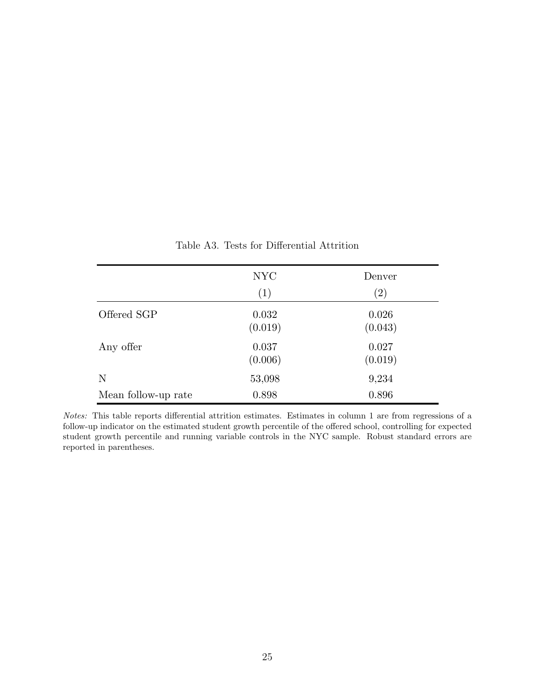<span id="page-26-0"></span>

|                     | <b>NYC</b> | Denver            |
|---------------------|------------|-------------------|
|                     | (1)        | $\left( 2\right)$ |
| Offered SGP         | 0.032      | 0.026             |
|                     | (0.019)    | (0.043)           |
| Any offer           | 0.037      | 0.027             |
|                     | (0.006)    | (0.019)           |
| N                   | 53,098     | 9,234             |
| Mean follow-up rate | 0.898      | 0.896             |

Table A3. Tests for Differential Attrition

student growth percentile and running variable controls in the NYC sample. Robust standard errors are reported in parentheses. Notes: This table reports differential attrition estimates. Estimates in column 1 are from regressions of a follow-up indicator on the estimated student growth percentile of the offered school, controlling for expected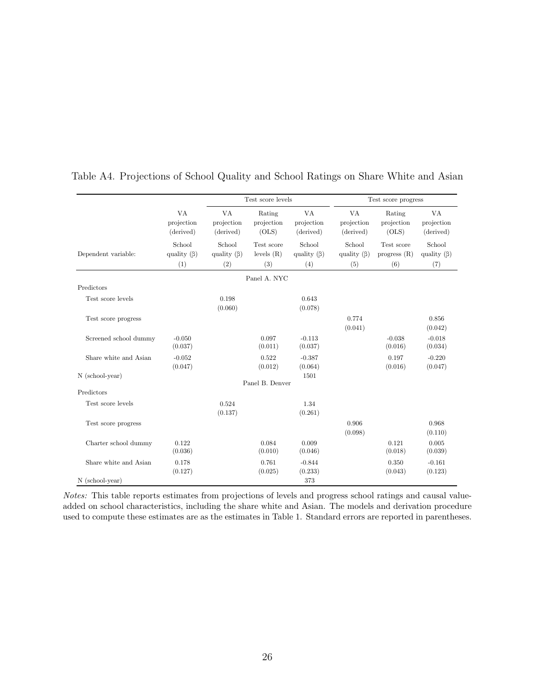|                       |                                    | Test score levels                  |                                   |                                    | Test score progress                |                                     |                                    |
|-----------------------|------------------------------------|------------------------------------|-----------------------------------|------------------------------------|------------------------------------|-------------------------------------|------------------------------------|
|                       | VA<br>projection<br>(derived)      | VA<br>projection<br>(derived)      | Rating<br>projection<br>(OLS)     | VA<br>projection<br>(derived)      | VA<br>projection<br>(derived)      | Rating<br>projection<br>(OLS)       | VA<br>projection<br>(derived)      |
| Dependent variable:   | School<br>quality $(\beta)$<br>(1) | School<br>quality $(\beta)$<br>(2) | Test score<br>levels $(R)$<br>(3) | School<br>quality $(\beta)$<br>(4) | School<br>quality $(\beta)$<br>(5) | Test score<br>progress $(R)$<br>(6) | School<br>quality $(\beta)$<br>(7) |
|                       |                                    |                                    | Panel A. NYC                      |                                    |                                    |                                     |                                    |
| Predictors            |                                    |                                    |                                   |                                    |                                    |                                     |                                    |
| Test score levels     |                                    | 0.198<br>(0.060)                   |                                   | 0.643<br>(0.078)                   |                                    |                                     |                                    |
| Test score progress   |                                    |                                    |                                   |                                    | 0.774<br>(0.041)                   |                                     | 0.856<br>(0.042)                   |
| Screened school dummy | $-0.050$<br>(0.037)                |                                    | 0.097<br>(0.011)                  | $-0.113$<br>(0.037)                |                                    | $-0.038$<br>(0.016)                 | $-0.018$<br>(0.034)                |
| Share white and Asian | $-0.052$<br>(0.047)                |                                    | 0.522<br>(0.012)                  | $-0.387$<br>(0.064)                |                                    | 0.197<br>(0.016)                    | $-0.220$<br>(0.047)                |
| N (school-year)       |                                    |                                    |                                   | 1501                               |                                    |                                     |                                    |
| Predictors            |                                    |                                    | Panel B. Denver                   |                                    |                                    |                                     |                                    |
| Test score levels     |                                    |                                    |                                   |                                    |                                    |                                     |                                    |
|                       |                                    | 0.524<br>(0.137)                   |                                   | 1.34<br>(0.261)                    |                                    |                                     |                                    |
| Test score progress   |                                    |                                    |                                   |                                    | 0.906<br>(0.098)                   |                                     | 0.968<br>(0.110)                   |
| Charter school dummy  | 0.122<br>(0.036)                   |                                    | 0.084<br>(0.010)                  | 0.009<br>(0.046)                   |                                    | 0.121<br>(0.018)                    | 0.005<br>(0.039)                   |
| Share white and Asian | 0.178<br>(0.127)                   |                                    | 0.761<br>(0.025)                  | $-0.844$<br>(0.233)                |                                    | 0.350<br>(0.043)                    | $-0.161$<br>(0.123)                |
| N (school-year)       |                                    |                                    |                                   | 373                                |                                    |                                     |                                    |

#### <span id="page-27-0"></span>Table A4. Projections of School Quality and School Ratings on Share White and Asian

Notes: This table reports estimates from projections of levels and progress school ratings and causal valueadded on school characteristics, including the share white and Asian. The models and derivation procedure used to compute these estimates are as the estimates in Table [1.](#page-19-0) Standard errors are reported in parentheses.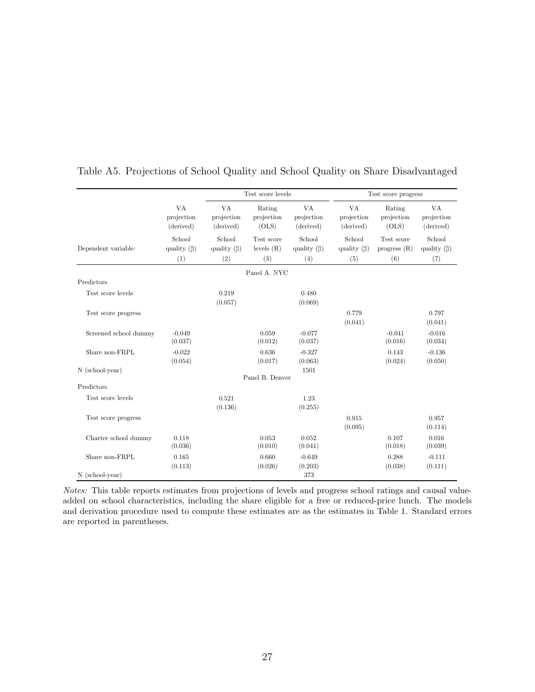|                       |                               | Test score levels             |                               | Test score progress           |                               |                               |                               |
|-----------------------|-------------------------------|-------------------------------|-------------------------------|-------------------------------|-------------------------------|-------------------------------|-------------------------------|
|                       | VA<br>projection<br>(derived) | VA<br>projection<br>(derived) | Rating<br>projection<br>(OLS) | VA<br>projection<br>(derived) | VA<br>projection<br>(derived) | Rating<br>projection<br>(OLS) | VA<br>projection<br>(derived) |
| Dependent variable:   | School<br>quality $(\beta)$   | School<br>quality $(\beta)$   | Test score<br>levels $(R)$    | School<br>quality $(\beta)$   | School<br>quality $(\beta)$   | Test score<br>progress $(R)$  | School<br>quality $(\beta)$   |
|                       | (1)                           | (2)                           | (3)                           | (4)                           | (5)                           | (6)                           | (7)                           |
|                       |                               |                               | Panel A. NYC                  |                               |                               |                               |                               |
| Predictors            |                               |                               |                               |                               |                               |                               |                               |
| Test score levels     |                               | 0.219<br>(0.057)              |                               | 0.480<br>(0.069)              |                               |                               |                               |
| Test score progress   |                               |                               |                               |                               | 0.779<br>(0.041)              |                               | 0.797<br>(0.041)              |
| Screened school dummy | $-0.049$<br>(0.037)           |                               | 0.059<br>(0.012)              | $-0.077$<br>(0.037)           |                               | $-0.041$<br>(0.016)           | $-0.016$<br>(0.034)           |
| Share non-FRPL        | $-0.022$<br>(0.054)           |                               | 0.636<br>(0.017)              | $-0.327$<br>(0.063)           |                               | 0.143<br>(0.024)              | $-0.136$<br>(0.050)           |
| $N$ (school-year)     |                               |                               | Panel B. Denver               | 1501                          |                               |                               |                               |
| Predictors            |                               |                               |                               |                               |                               |                               |                               |
| Test score levels     |                               | 0.521<br>(0.136)              |                               | 1.23<br>(0.255)               |                               |                               |                               |
| Test score progress   |                               |                               |                               |                               | 0.915<br>(0.095)              |                               | 0.957<br>(0.114)              |
| Charter school dummy  | 0.118<br>(0.036)              |                               | 0.053<br>(0.010)              | 0.052<br>(0.041)              |                               | 0.107<br>(0.018)              | 0.016<br>(0.039)              |
| Share non-FRPL        | 0.165<br>(0.113)              |                               | 0.660<br>(0.026)              | $-0.649$<br>(0.203)           |                               | 0.288<br>(0.038)              | $-0.111$<br>(0.111)           |
| $N$ (school-year)     |                               |                               |                               | 373                           |                               |                               |                               |

#### <span id="page-28-0"></span>Table A5. Projections of School Quality and School Quality on Share Disadvantaged

Notes: This table reports estimates from projections of levels and progress school ratings and causal valueadded on school characteristics, including the share eligible for a free or reduced-price lunch. The models and derivation procedure used to compute these estimates are as the estimates in Table [1.](#page-19-0) Standard errors are reported in parentheses.